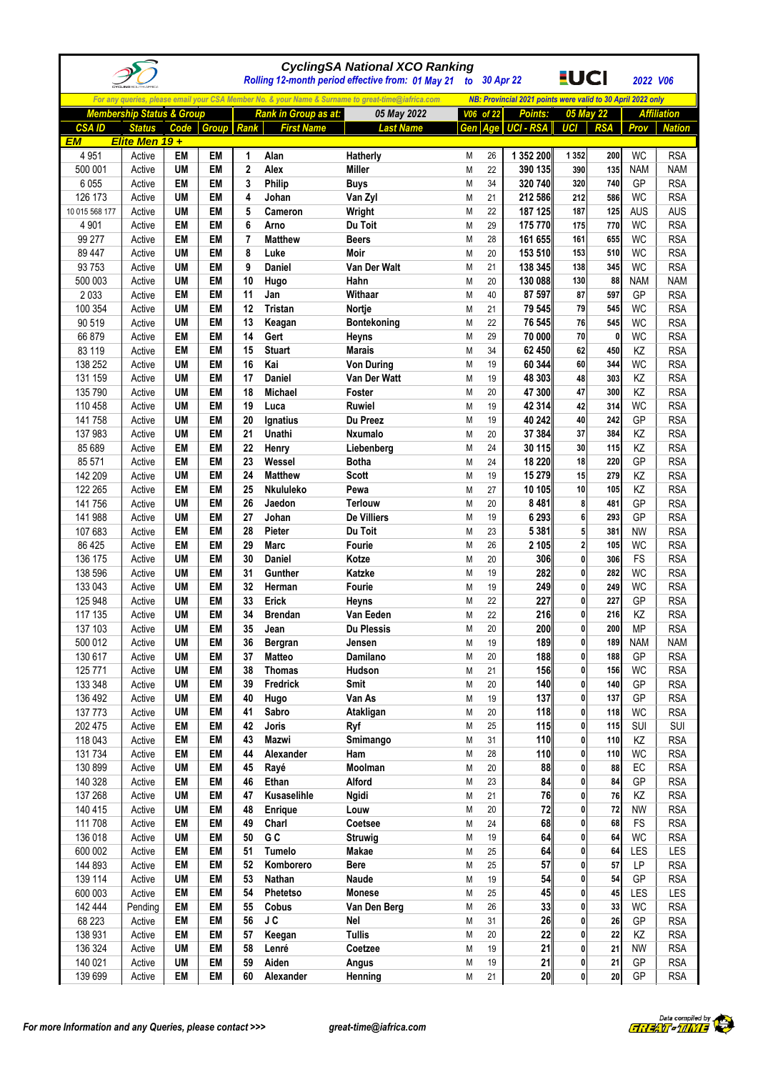|                    |                                      |                        |                        |                     |                      | <b>CyclingSA National XCO Ranking</b><br>Rolling 12-month period effective from: 01 May 21        |           |              | to 30 Apr 22                                                | <u>EUCI</u>    |            | 2022 V06               |                          |
|--------------------|--------------------------------------|------------------------|------------------------|---------------------|----------------------|---------------------------------------------------------------------------------------------------|-----------|--------------|-------------------------------------------------------------|----------------|------------|------------------------|--------------------------|
|                    |                                      |                        |                        |                     |                      | For any queries, please email your CSA Member No. & your Name & Surname to great-time@iafrica.com |           |              | NB: Provincial 2021 points were valid to 30 April 2022 only |                |            |                        |                          |
|                    | <b>Membership Status &amp; Group</b> |                        |                        |                     | Rank in Group as at: | 05 May 2022                                                                                       |           | V06 of 22    | Points:                                                     |                | 05 May 22  |                        | <b>Affiliation</b>       |
| <b>CSAID</b>       | <b>Status</b>                        | Code                   | <b>Group</b> Rank      |                     | <b>First Name</b>    | <b>Last Name</b>                                                                                  | Gen       |              | Age UCI - RSA                                               | <b>UCI</b>     | <b>RSA</b> | Prov                   | <b>Nation</b>            |
| <b>EM</b>          | Elite Men 19+                        |                        |                        |                     |                      |                                                                                                   |           |              |                                                             |                |            |                        |                          |
| 4 9 5 1            | Active                               | <b>EM</b>              | <b>EM</b><br><b>EM</b> | 1                   | Alan                 | Hatherly                                                                                          | M         | 26           | 1 352 200                                                   | 1 3 5 2        | 200        | <b>WC</b>              | <b>RSA</b>               |
| 500 001<br>6 0 5 5 | Active<br>Active                     | <b>UM</b><br>EM        | EM                     | $\overline{2}$<br>3 | Alex<br>Philip       | <b>Miller</b><br><b>Buys</b>                                                                      | M<br>M    | 22<br>34     | 390 135<br>320 740                                          | 390<br>320     | 135<br>740 | <b>NAM</b><br>GP       | <b>NAM</b><br><b>RSA</b> |
| 126 173            | Active                               | <b>UM</b>              | EM                     | 4                   | Johan                | Van Zyl                                                                                           | M         | 21           | 212 586                                                     | 212            | 586        | WC                     | <b>RSA</b>               |
| 10 015 568 177     | Active                               | <b>UM</b>              | EM                     | 5                   | Cameron              | Wright                                                                                            | M         | 22           | 187 125                                                     | 187            | 125        | <b>AUS</b>             | <b>AUS</b>               |
| 4 9 0 1            | Active                               | EM                     | EM                     | 6                   | Arno                 | Du Toit                                                                                           | M         | 29           | 175 770                                                     | 175            | 770        | <b>WC</b>              | <b>RSA</b>               |
| 99 277             | Active                               | <b>EM</b>              | EM                     | $\overline{7}$      | <b>Matthew</b>       | <b>Beers</b>                                                                                      | M         | 28           | 161 655                                                     | 161            | 655        | <b>WC</b>              | <b>RSA</b>               |
| 89 447             | Active                               | <b>UM</b>              | <b>EM</b>              | 8                   | Luke                 | Moir                                                                                              | M         | 20           | 153 510                                                     | 153            | 510        | <b>WC</b>              | <b>RSA</b>               |
| 93 753             | Active                               | <b>UM</b>              | EM                     | 9                   | <b>Daniel</b>        | Van Der Walt                                                                                      | M         | 21           | 138 345                                                     | 138            | 345        | <b>WC</b>              | <b>RSA</b>               |
| 500 003            | Active                               | <b>UM</b>              | <b>EM</b>              | 10                  | Hugo                 | Hahn                                                                                              | M         | 20           | 130 088                                                     | 130            | 88         | <b>NAM</b>             | <b>NAM</b>               |
| 2033               | Active                               | EM                     | EM                     | 11                  | Jan                  | Withaar                                                                                           | M         | 40           | 87 597                                                      | 87             | 597        | GP                     | <b>RSA</b>               |
| 100 354            | Active                               | <b>UM</b>              | EM                     | 12                  | Tristan              | Nortje                                                                                            | M         | 21           | 79 545                                                      | 79             | 545        | <b>WC</b>              | <b>RSA</b>               |
| 90 519<br>66879    | Active<br>Active                     | <b>UM</b><br>EM        | EM<br><b>EM</b>        | 13<br>14            | Keagan<br>Gert       | Bontekoning<br><b>Heyns</b>                                                                       | M<br>M    | 22<br>29     | 76 545<br>70 000                                            | 76<br>70       | 545<br>0   | <b>WC</b><br><b>WC</b> | <b>RSA</b><br><b>RSA</b> |
| 83 119             | Active                               | <b>EM</b>              | <b>EM</b>              | 15                  | <b>Stuart</b>        | <b>Marais</b>                                                                                     | M         | 34           | 62 450                                                      | 62             | 450        | KZ                     | <b>RSA</b>               |
| 138 252            | Active                               | <b>UM</b>              | EM                     | 16                  | Kai                  | <b>Von During</b>                                                                                 | M         | 19           | 60 344                                                      | 60             | 344        | <b>WC</b>              | <b>RSA</b>               |
| 131 159            | Active                               | <b>UM</b>              | EM                     | 17                  | Daniel               | Van Der Watt                                                                                      | M         | 19           | 48 303                                                      | 48             | 303        | KZ                     | <b>RSA</b>               |
| 135 790            | Active                               | UM                     | EM                     | 18                  | Michael              | Foster                                                                                            | M         | 20           | 47 300                                                      | 47             | 300        | KZ                     | <b>RSA</b>               |
| 110 458            | Active                               | <b>UM</b>              | <b>EM</b>              | 19                  | Luca                 | <b>Ruwiel</b>                                                                                     | M         | 19           | 42 314                                                      | 42             | 314        | <b>WC</b>              | <b>RSA</b>               |
| 141 758            | Active                               | <b>UM</b>              | <b>EM</b>              | 20                  | Ignatius             | Du Preez                                                                                          | M         | 19           | 40 242                                                      | 40             | 242        | GP                     | <b>RSA</b>               |
| 137 983            | Active                               | UM                     | EM                     | 21                  | Unathi               | <b>Nxumalo</b>                                                                                    | M         | 20           | 37 384                                                      | 37             | 384        | KZ                     | <b>RSA</b>               |
| 85 689             | Active                               | EM                     | <b>EM</b>              | 22                  | Henry                | Liebenberg                                                                                        | M         | 24           | 30 115                                                      | 30             | 115        | KZ                     | <b>RSA</b>               |
| 85 571             | Active                               | EM                     | EM                     | 23                  | Wessel               | <b>Botha</b>                                                                                      | M         | 24           | 18 2 20                                                     | 18             | 220        | GP                     | <b>RSA</b>               |
| 142 209            | Active                               | <b>UM</b>              | EM                     | 24                  | <b>Matthew</b>       | <b>Scott</b>                                                                                      | M         | 19           | 15 279                                                      | 15             | 279        | KZ                     | <b>RSA</b>               |
| 122 265            | Active                               | EM                     | EM                     | 25                  | Nkululeko            | Pewa                                                                                              | M         | 27           | 10 105                                                      | 10             | 105        | KZ                     | <b>RSA</b>               |
| 141 756<br>141 988 | Active<br>Active                     | <b>UM</b><br><b>UM</b> | EM<br><b>EM</b>        | 26<br>27            | Jaedon<br>Johan      | <b>Terlouw</b><br>De Villiers                                                                     | M<br>M    | 20<br>19     | 8481<br>6 2 9 3                                             | 8<br>6         | 481<br>293 | GP<br>GP               | <b>RSA</b><br><b>RSA</b> |
| 107 683            | Active                               | EM                     | <b>EM</b>              | 28                  | Pieter               | Du Toit                                                                                           | M         | 23           | 5 3 8 1                                                     | 5              | 381        | <b>NW</b>              | <b>RSA</b>               |
| 86 4 25            | Active                               | EM                     | EM                     | 29                  | <b>Marc</b>          | Fourie                                                                                            | M         | 26           | 2 1 0 5                                                     | $\overline{2}$ | 105        | <b>WC</b>              | <b>RSA</b>               |
| 136 175            | Active                               | <b>UM</b>              | <b>EM</b>              | 30                  | <b>Daniel</b>        | Kotze                                                                                             | M         | 20           | 306                                                         | 0              | 306        | FS                     | <b>RSA</b>               |
| 138 596            | Active                               | <b>UM</b>              | EM                     | 31                  | Gunther              | Katzke                                                                                            | M         | 19           | 282                                                         | 0              | 282        | <b>WC</b>              | <b>RSA</b>               |
| 133 043            | Active                               | UM                     | <b>EM</b>              | 32                  | Herman               | <b>Fourie</b>                                                                                     | M         | 19           | 249                                                         | 0              | 249        | <b>WC</b>              | <b>RSA</b>               |
| 125 948            | Active                               | <b>UM</b>              | EM                     | 33                  | Erick                | Heyns                                                                                             | M         | 22           | 227                                                         | $\mathbf{0}$   | 227        | GP                     | <b>RSA</b>               |
| 117 135            | Active                               | <b>UM</b>              | EM                     | 34                  | <b>Brendan</b>       | Van Eeden                                                                                         | ${\sf M}$ | 22           | 216                                                         | 0              | 216        | KZ                     | <b>RSA</b>               |
| 137 103            | Active                               | UM                     | EM                     | 35                  | Jean                 | <b>Du Plessis</b>                                                                                 | M         | 20           | 200                                                         | 0              | 200        | <b>MP</b>              | <b>RSA</b>               |
| 500 012            | Active                               | <b>UM</b>              | EM                     | 36                  | Bergran              | Jensen                                                                                            | M         | 19           | 189                                                         | 0              | 189        | <b>NAM</b>             | <b>NAM</b>               |
| 130 617            | Active                               | <b>UM</b>              | EM                     | 37                  | <b>Matteo</b>        | Damilano                                                                                          | ${\sf M}$ | 20           | 188                                                         | 0              | 188        | GP                     | <b>RSA</b>               |
| 125 771            | Active                               | <b>UM</b>              | EM                     | 38                  | <b>Thomas</b>        | Hudson                                                                                            | M         | 21           | 156                                                         | $\mathbf{0}$   | 156        | <b>WC</b>              | <b>RSA</b>               |
| 133 348<br>136 492 | Active                               | <b>UM</b><br><b>UM</b> | EM<br>EM               | 39<br>40            | Fredrick<br>Hugo     | Smit<br>Van As                                                                                    | M<br>M    | $20\,$<br>19 | 140<br>137                                                  | 0<br>0         | 140<br>137 | GP<br>GP               | <b>RSA</b><br><b>RSA</b> |
| 137 773            | Active<br>Active                     | UM                     | EM                     | 41                  | Sabro                | Atakligan                                                                                         | M         | 20           | 118                                                         | 0              | 118        | <b>WC</b>              | <b>RSA</b>               |
| 202 475            | Active                               | EM                     | EM                     | 42                  | <b>Joris</b>         | Ryf                                                                                               | M         | 25           | 115                                                         | 0              | 115        | <b>SUI</b>             | <b>SUI</b>               |
| 118 043            | Active                               | EM                     | EM                     | 43                  | Mazwi                | Smimango                                                                                          | M         | 31           | 110                                                         | 0              | 110        | ΚZ                     | <b>RSA</b>               |
| 131 734            | Active                               | EM                     | EM                     | 44                  | Alexander            | Ham                                                                                               | M         | 28           | <b>110</b>                                                  | $\mathbf{0}$   | 110        | <b>WC</b>              | <b>RSA</b>               |
| 130 899            | Active                               | UM                     | EM                     | 45                  | Rayé                 | Moolman                                                                                           | M         | 20           | 88                                                          | 0              | 88         | EC                     | <b>RSA</b>               |
| 140 328            | Active                               | EM                     | EM                     | 46                  | Ethan                | Alford                                                                                            | M         | 23           | 84                                                          | 0              | 84         | GP                     | <b>RSA</b>               |
| 137 268            | Active                               | <b>UM</b>              | EM                     | 47                  | Kusaselihle          | <b>Ngidi</b>                                                                                      | M         | 21           | 76                                                          | 0              | 76         | KZ                     | <b>RSA</b>               |
| 140 415            | Active                               | UM                     | EM                     | 48                  | <b>Enrique</b>       | Louw                                                                                              | M         | 20           | 72                                                          | 0              | 72         | <b>NW</b>              | <b>RSA</b>               |
| 111 708            | Active                               | EM                     | EM                     | 49                  | Charl                | Coetsee                                                                                           | M         | 24           | 68                                                          | 0              | 68         | FS                     | <b>RSA</b>               |
| 136 018            | Active                               | UM                     | EM                     | 50                  | G C                  | <b>Struwig</b>                                                                                    | M         | 19           | 64                                                          | 0              | 64         | <b>WC</b>              | <b>RSA</b>               |
| 600 002            | Active                               | EM                     | EM                     | 51                  | <b>Tumelo</b>        | Makae                                                                                             | M         | 25           | 64<br>57                                                    | 0<br>0         | 64<br>57   | LES                    | LES                      |
| 144 893<br>139 114 | Active<br>Active                     | EM<br>UM               | EM<br>EM               | 52<br>53            | Komborero<br>Nathan  | Bere<br>Naude                                                                                     | M<br>M    | 25<br>19     | 54                                                          | 0              | 54         | LP<br>GP               | <b>RSA</b><br><b>RSA</b> |
| 600 003            | Active                               | EM                     | EM                     | 54                  | Phetetso             | Monese                                                                                            | M         | 25           | 45                                                          | 0              | 45         | LES                    | LES                      |
| 142 444            | Pending                              | EM                     | EM                     | 55                  | Cobus                | Van Den Berg                                                                                      | M         | $26\,$       | 33                                                          | 0              | 33         | WC                     | <b>RSA</b>               |
| 68 223             | Active                               | EM                     | EM                     | 56                  | <b>JC</b>            | Nel                                                                                               | M         | 31           | 26                                                          | 0              | 26         | GP                     | <b>RSA</b>               |
| 138 931            | Active                               | EM                     | EM                     | 57                  | Keegan               | <b>Tullis</b>                                                                                     | M         | 20           | 22                                                          | 0              | 22         | KZ                     | <b>RSA</b>               |
| 136 324            | Active                               | <b>UM</b>              | EM                     | 58                  | Lenré                | Coetzee                                                                                           | M         | 19           | 21                                                          | $\mathbf{0}$   | 21         | <b>NW</b>              | <b>RSA</b>               |
| 140 021            | Active                               | <b>UM</b>              | EM                     | 59                  | Aiden                | Angus                                                                                             | M         | 19           | 21                                                          | 0              | 21         | GP                     | <b>RSA</b>               |
| 139 699            | Active                               | EM                     | EM                     | 60                  | Alexander            | Henning                                                                                           | M         | 21           | 20                                                          | 0              | 20         | GP                     | <b>RSA</b>               |

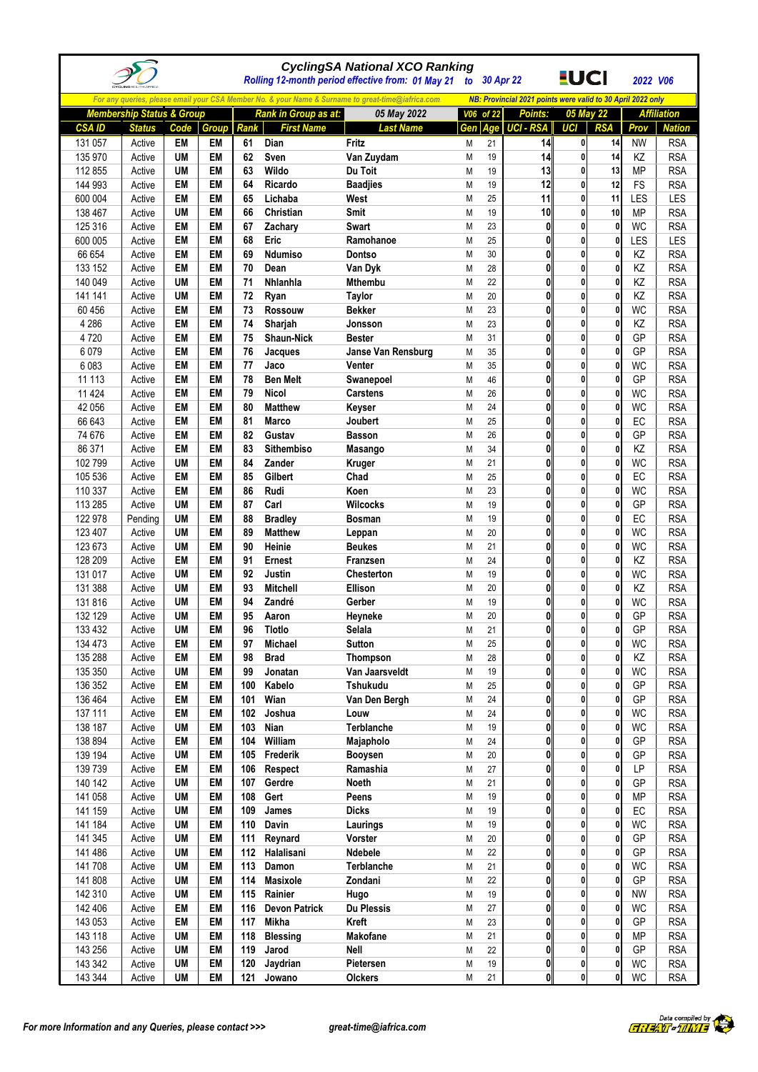|                    |                                      |                        |                 |             |                                | <b>CyclingSA National XCO Ranking</b><br>Rolling 12-month period effective from: 01 May 21 to 30 Apr 22 |        |           |                                                             | <u>EUCI</u>                  |                   | 2022 V06               |                          |
|--------------------|--------------------------------------|------------------------|-----------------|-------------|--------------------------------|---------------------------------------------------------------------------------------------------------|--------|-----------|-------------------------------------------------------------|------------------------------|-------------------|------------------------|--------------------------|
|                    |                                      |                        |                 |             |                                | For any queries, please email your CSA Member No. & your Name & Surname to great-time@iafrica.com       |        |           | NB: Provincial 2021 points were valid to 30 April 2022 only |                              |                   |                        |                          |
|                    | <b>Membership Status &amp; Group</b> |                        |                 |             | Rank in Group as at:           | 05 May 2022                                                                                             |        | V06 of 22 | Points:                                                     |                              | 05 May 22         |                        | <b>Affiliation</b>       |
| <b>CSAID</b>       | <b>Status</b>                        | Code                   | Group           | <b>Rank</b> | <b>First Name</b>              | <b>Last Name</b>                                                                                        | Gen    | Age       | <b>UCI - RSA</b>                                            | UCI                          | <b>RSA</b>        | Prov                   | <b>Nation</b>            |
| 131 057            | Active                               | EM                     | EM              | 61          | Dian                           | Fritz                                                                                                   | M      | 21        | 14                                                          | 0                            | 14                | <b>NW</b>              | <b>RSA</b>               |
| 135 970            | Active                               | UM                     | EM              | 62          | Sven                           | Van Zuydam                                                                                              | M      | 19        | 14                                                          | 0                            | 14                | <b>KZ</b>              | <b>RSA</b>               |
| 112 855            | Active                               | <b>UM</b>              | EM              | 63          | Wildo                          | Du Toit                                                                                                 | M      | 19        | 13                                                          | 0                            | 13                | <b>MP</b>              | <b>RSA</b>               |
| 144 993            | Active                               | EM                     | EM              | 64          | Ricardo                        | <b>Baadjies</b>                                                                                         | М      | 19        | 12                                                          | $\mathbf{0}$                 | 12                | FS                     | <b>RSA</b>               |
| 600 004            | Active                               | EM                     | EM              | 65          | Lichaba                        | West                                                                                                    | M      | 25        | 11                                                          | 0                            | 11                | LES                    | LES                      |
| 138 467            | Active                               | UM                     | EM              | 66          | <b>Christian</b>               | Smit                                                                                                    | M      | 19        | 10                                                          | 0                            | 10                | <b>MP</b>              | <b>RSA</b>               |
| 125 316<br>600 005 | Active<br>Active                     | EM<br>EM               | <b>EM</b><br>EM | 67<br>68    | Zachary<br>Eric                | <b>Swart</b><br>Ramohanoe                                                                               | Μ<br>M | 23<br>25  | 0<br>0                                                      | $\mathbf{0}$<br>$\mathbf{0}$ | 0<br>0            | WC<br>LES              | <b>RSA</b><br>LES        |
| 66 654             | Active                               | <b>EM</b>              | EM              | 69          | <b>Ndumiso</b>                 | Dontso                                                                                                  | M      | 30        | 0                                                           | 0                            | 0                 | KZ                     | <b>RSA</b>               |
| 133 152            | Active                               | EM                     | <b>EM</b>       | 70          | Dean                           | Van Dyk                                                                                                 | M      | 28        | 0                                                           | 0                            | 0                 | KZ                     | <b>RSA</b>               |
| 140 049            | Active                               | <b>UM</b>              | EM              | 71          | Nhlanhla                       | Mthembu                                                                                                 | Μ      | 22        | $\bf{0}$                                                    | $\mathbf{0}$                 | 0                 | KZ                     | <b>RSA</b>               |
| 141 141            | Active                               | <b>UM</b>              | EM              | 72          | Ryan                           | <b>Taylor</b>                                                                                           | Μ      | 20        | 0                                                           | $\mathbf{0}$                 | 0                 | KZ                     | <b>RSA</b>               |
| 60 456             | Active                               | EM                     | EM              | 73          | <b>Rossouw</b>                 | <b>Bekker</b>                                                                                           | Μ      | 23        | 0                                                           | 0                            | 0                 | WC                     | <b>RSA</b>               |
| 4 2 8 6            | Active                               | EM                     | EM              | 74          | Sharjah                        | Jonsson                                                                                                 | Μ      | 23        | 0                                                           | 0                            | 0                 | KZ                     | <b>RSA</b>               |
| 4720               | Active                               | EM                     | EM              | 75          | Shaun-Nick                     | <b>Bester</b>                                                                                           | M      | 31        | 0                                                           | 0                            | 0                 | GP                     | <b>RSA</b>               |
| 6 0 7 9            | Active                               | EM                     | EM              | 76          | Jacques                        | Janse Van Rensburg                                                                                      | М      | 35        | 0                                                           | 0                            | 0                 | GP                     | <b>RSA</b>               |
| 6 0 8 3            | Active                               | EM                     | EM              | 77          | Jaco                           | <b>Venter</b>                                                                                           | M      | 35        | $\bf{0}$                                                    | 0                            | $\mathbf{0}$      | WC                     | <b>RSA</b>               |
| 11 113             | Active                               | EM                     | EM              | 78          | <b>Ben Melt</b>                | Swanepoel                                                                                               | M      | 46        | 0                                                           | $\mathbf{0}$                 | 0                 | GP                     | <b>RSA</b>               |
| 11 4 24<br>42 056  | Active<br>Active                     | EM<br>EM               | EM<br>EM        | 79<br>80    | <b>Nicol</b><br><b>Matthew</b> | <b>Carstens</b><br>Keyser                                                                               | Μ<br>M | 26<br>24  | 0<br>0                                                      | $\mathbf{0}$<br>0            | 0<br>0            | <b>WC</b><br><b>WC</b> | <b>RSA</b><br><b>RSA</b> |
| 66 643             | Active                               | EM                     | EM              | 81          | <b>Marco</b>                   | Joubert                                                                                                 | Μ      | 25        | 0                                                           | 0                            | 0                 | EC                     | <b>RSA</b>               |
| 74 676             | Active                               | EM                     | EM              | 82          | Gustav                         | <b>Basson</b>                                                                                           | Μ      | 26        | $\bf{0}$                                                    | $\mathbf{0}$                 | 0                 | GP                     | <b>RSA</b>               |
| 86 371             | Active                               | EM                     | EM              | 83          | Sithembiso                     | Masango                                                                                                 | Μ      | 34        | 0                                                           | 0                            | 0                 | KZ                     | <b>RSA</b>               |
| 102 799            | Active                               | <b>UM</b>              | EM              | 84          | Zander                         | Kruger                                                                                                  | Μ      | 21        | 0                                                           | 0                            | 0                 | WC                     | <b>RSA</b>               |
| 105 536            | Active                               | EM                     | EM              | 85          | Gilbert                        | Chad                                                                                                    | Μ      | 25        | 0                                                           | 0                            | 0                 | EC                     | <b>RSA</b>               |
| 110 337            | Active                               | EM                     | EM              | 86          | Rudi                           | Koen                                                                                                    | M      | 23        | 0                                                           | 0                            | $\mathbf{0}$      | WC                     | <b>RSA</b>               |
| 113 285            | Active                               | <b>UM</b>              | EM              | 87          | Carl                           | <b>Wilcocks</b>                                                                                         | М      | 19        | 0                                                           | 0                            | 0                 | GP                     | <b>RSA</b>               |
| 122 978            | Pending                              | <b>UM</b>              | EM              | 88          | <b>Bradley</b>                 | <b>Bosman</b>                                                                                           | M      | 19        | $\bf{0}$                                                    | $\mathbf{0}$                 | 0                 | EC                     | <b>RSA</b>               |
| 123 407            | Active                               | <b>UM</b>              | EM              | 89          | <b>Matthew</b>                 | Leppan                                                                                                  | Μ      | 20        | 0                                                           | $\mathbf{0}$                 | 0                 | WC                     | <b>RSA</b>               |
| 123 673            | Active                               | <b>UM</b>              | EM              | 90          | Heinie                         | <b>Beukes</b>                                                                                           | Μ      | 21        | 0                                                           | $\mathbf{0}$                 | 0                 | <b>WC</b>              | <b>RSA</b>               |
| 128 209            | Active                               | EM                     | EM              | 91          | <b>Ernest</b>                  | <b>Franzsen</b>                                                                                         | M      | 24        | 0<br>0                                                      | 0<br>$\mathbf{0}$            | 0<br>$\mathbf{0}$ | ΚZ                     | <b>RSA</b>               |
| 131 017<br>131 388 | Active<br>Active                     | <b>UM</b><br><b>UM</b> | EM<br>EM        | 92<br>93    | Justin<br><b>Mitchell</b>      | <b>Chesterton</b><br>Ellison                                                                            | Μ<br>M | 19<br>20  | 0                                                           | 0                            | $\mathbf{0}$      | <b>WC</b><br>KZ        | <b>RSA</b><br><b>RSA</b> |
| 131 816            | Active                               | <b>UM</b>              | EM              | 94          | Zandré                         | Gerber                                                                                                  | Μ      | 19        | 0                                                           | 0                            | 0                 | <b>WC</b>              | <b>RSA</b>               |
| 132 129            | Active                               | <b>UM</b>              | EM              | 95          | Aaron                          | Heyneke                                                                                                 | M      | 20        | 0                                                           | $\mathbf{0}$                 | 0                 | GP                     | <b>RSA</b>               |
| 133 432            | Active                               | <b>UM</b>              | EM              | 96          | Tlotlo                         | Selala                                                                                                  | M      | 21        | 0                                                           |                              |                   | GP                     | <b>RSA</b>               |
| 134 473            | Active                               | EM                     | EM              | 97          | Michael                        | <b>Sutton</b>                                                                                           | Μ      | 25        | 0                                                           | 0                            | 0                 | WC                     | <b>RSA</b>               |
| 135 288            | Active                               | EM                     | EM              | 98          | <b>Brad</b>                    | <b>Thompson</b>                                                                                         | М      | 28        | 0                                                           | 0                            | 0                 | ΚZ                     | <b>RSA</b>               |
| 135 350            | Active                               | UM                     | EM              | 99          | Jonatan                        | Van Jaarsveldt                                                                                          | Μ      | 19        | 0                                                           | 0                            | 0                 | <b>WC</b>              | <b>RSA</b>               |
| 136 352            | Active                               | EM                     | EM              | 100         | Kabelo                         | Tshukudu                                                                                                | Μ      | 25        | 0                                                           | 0                            | 0                 | GP                     | <b>RSA</b>               |
| 136 464            | Active                               | EM                     | EM              | 101         | Wian                           | Van Den Bergh                                                                                           | Μ      | 24        | 0                                                           | 0                            | 0                 | GP                     | <b>RSA</b>               |
| 137 111            | Active                               | EM                     | EM              | 102         | Joshua                         | Louw                                                                                                    | Μ      | 24        | 0                                                           | 0                            | 0                 | WC                     | <b>RSA</b>               |
| 138 187            | Active                               | UM                     | EM              | 103         | Nian                           | Terblanche                                                                                              | М      | 19        | 0<br>0                                                      | 0<br>0                       | 0<br>0            | <b>WC</b>              | <b>RSA</b>               |
| 138 894            | Active                               | EM<br><b>UM</b>        | EM<br>EM        | 104<br>105  | William<br>Frederik            | Majapholo                                                                                               | М<br>Μ | 24<br>20  | 0                                                           | 0                            | 0                 | GP<br>GP               | <b>RSA</b>               |
| 139 194<br>139 739 | Active<br>Active                     | EM                     | EM              | 106         | Respect                        | <b>Booysen</b><br>Ramashia                                                                              | Μ      | 27        | 0                                                           | $\mathbf{0}$                 | 0                 | LP                     | <b>RSA</b><br><b>RSA</b> |
| 140 142            | Active                               | <b>UM</b>              | EM              | 107         | Gerdre                         | Noeth                                                                                                   | Μ      | 21        | 0                                                           | 0                            | 0                 | GP                     | <b>RSA</b>               |
| 141 058            | Active                               | <b>UM</b>              | EM              | 108         | Gert                           | Peens                                                                                                   | М      | 19        | 0                                                           | 0                            | 0                 | <b>MP</b>              | <b>RSA</b>               |
| 141 159            | Active                               | <b>UM</b>              | EM              | 109         | James                          | <b>Dicks</b>                                                                                            | М      | 19        | 0                                                           | 0                            | 0                 | EC                     | <b>RSA</b>               |
| 141 184            | Active                               | <b>UM</b>              | EM              | 110         | Davin                          | Laurings                                                                                                | Μ      | 19        | 0                                                           | 0                            | 0                 | <b>WC</b>              | <b>RSA</b>               |
| 141 345            | Active                               | <b>UM</b>              | EM              | 111         | Reynard                        | Vorster                                                                                                 | Μ      | 20        | 0                                                           | 0                            | 0                 | GP                     | <b>RSA</b>               |
| 141 486            | Active                               | <b>UM</b>              | EM              | 112         | Halalisani                     | Ndebele                                                                                                 | М      | 22        | 0                                                           | 0                            | 0                 | GP                     | <b>RSA</b>               |
| 141 708            | Active                               | <b>UM</b>              | EM              | 113         | Damon                          | Terblanche                                                                                              | Μ      | 21        | 0                                                           | 0                            | 0                 | WC                     | <b>RSA</b>               |
| 141 808            | Active                               | <b>UM</b>              | EM              | 114         | <b>Masixole</b>                | Zondani                                                                                                 | М      | 22        | 0                                                           | 0                            | 0                 | GP                     | <b>RSA</b>               |
| 142 310            | Active                               | <b>UM</b>              | EM              | 115         | Rainier                        | Hugo                                                                                                    | Μ      | 19        | 0                                                           | 0                            | 0                 | <b>NW</b>              | <b>RSA</b>               |
| 142 406            | Active                               | EM                     | EM              | 116         | <b>Devon Patrick</b>           | Du Plessis                                                                                              | Μ      | 27        | 0                                                           | 0                            | 0                 | <b>WC</b>              | <b>RSA</b>               |
| 143 053<br>143 118 | Active                               | EM<br><b>UM</b>        | EM<br>EM        | 117<br>118  | <b>Mikha</b>                   | Kreft                                                                                                   | Μ<br>Μ | 23<br>21  | 0<br>0                                                      | 0<br>0                       | 0<br>0            | GP<br><b>MP</b>        | <b>RSA</b><br><b>RSA</b> |
| 143 256            | Active<br>Active                     | <b>UM</b>              | EM              | 119         | <b>Blessing</b><br>Jarod       | Makofane<br><b>Nell</b>                                                                                 | Μ      | 22        | 0                                                           | 0                            | 0                 | GP                     | <b>RSA</b>               |
| 143 342            | Active                               | <b>UM</b>              | EM              | 120         | Jaydrian                       | Pietersen                                                                                               | Μ      | 19        | 0                                                           | $\pmb{0}$                    | 0                 | <b>WC</b>              | <b>RSA</b>               |
| 143 344            | Active                               | <b>UM</b>              | EM              | 121         | Jowano                         | Olckers                                                                                                 | Μ      | 21        | 0                                                           | 0                            | $\pmb{0}$         | WC                     | <b>RSA</b>               |
|                    |                                      |                        |                 |             |                                |                                                                                                         |        |           |                                                             |                              |                   |                        |                          |

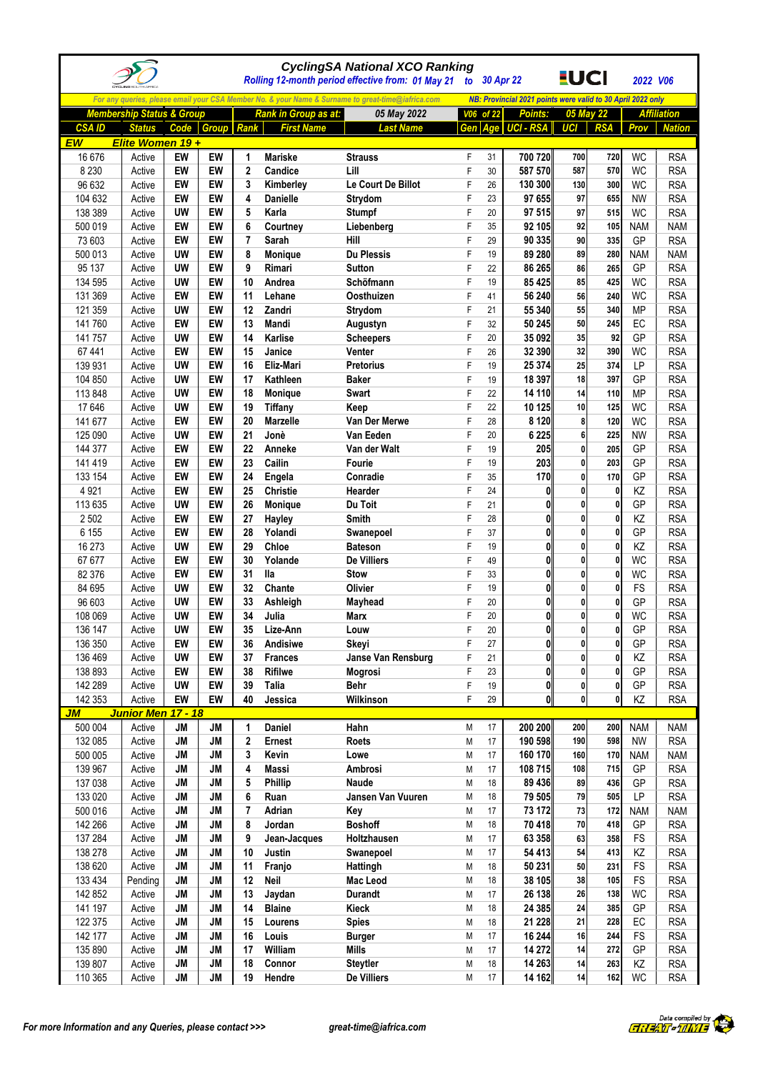|                    |                                      |                        |                 |                  |                             | <b>CyclingSA National XCO Ranking</b><br>Rolling 12-month period effective from: 01 May 21        | to 30 Apr 22 |          |                                                             | <u>EUCI</u>  |              | 2022 V06                |                          |
|--------------------|--------------------------------------|------------------------|-----------------|------------------|-----------------------------|---------------------------------------------------------------------------------------------------|--------------|----------|-------------------------------------------------------------|--------------|--------------|-------------------------|--------------------------|
|                    |                                      |                        |                 |                  |                             | For any queries, please email your CSA Member No. & your Name & Surname to great-time@iafrica.com |              |          | NB: Provincial 2021 points were valid to 30 April 2022 only |              |              |                         |                          |
|                    | <b>Membership Status &amp; Group</b> |                        |                 |                  | <b>Rank in Group as at:</b> | 05 May 2022                                                                                       | V06 of 22    |          | <b>Points:</b>                                              |              | 05 May 22    |                         | <b>Affiliation</b>       |
| <b>CSA ID</b>      | <b>Status</b>                        |                        | Code Group Rank |                  | <b>First Name</b>           | <b>Last Name</b>                                                                                  | Gen          | Age      | UCI - RSA                                                   | UCI          | <b>RSA</b>   | Prov                    | <b>Nation</b>            |
| EW                 | Elite Women 19+                      |                        |                 |                  |                             |                                                                                                   |              |          |                                                             |              |              |                         |                          |
| 16 676             | Active                               | EW                     | EW              | 1                | <b>Mariske</b>              | <b>Strauss</b>                                                                                    | F            | 31       | 700 720                                                     | 700          | 720          | <b>WC</b>               | <b>RSA</b>               |
| 8 2 3 0            | Active                               | EW                     | EW              | $\boldsymbol{2}$ | Candice                     | Lill                                                                                              | F            | 30       | 587 570                                                     | 587          | 570          | <b>WC</b>               | <b>RSA</b>               |
| 96 632             | Active                               | EW                     | EW              | 3                | Kimberley                   | Le Court De Billot                                                                                | F            | 26       | 130 300                                                     | 130          | 300          | <b>WC</b>               | <b>RSA</b>               |
| 104 632            | Active                               | EW                     | EW              | 4                | Danielle                    | Strydom                                                                                           | F            | 23       | 97 655                                                      | 97           | 655          | <b>NW</b>               | <b>RSA</b>               |
| 138 389            | Active                               | <b>UW</b><br>EW        | EW<br>EW        | 5<br>6           | Karla                       | <b>Stumpf</b>                                                                                     | F<br>F       | 20<br>35 | 97 515<br>92 105                                            | 97<br>92     | 515          | <b>WC</b>               | <b>RSA</b>               |
| 500 019<br>73 603  | Active<br>Active                     | EW                     | EW              | $\overline{7}$   | Courtney<br>Sarah           | Liebenberg<br>Hill                                                                                | F            | 29       | 90 335                                                      | 90           | 105<br>335   | <b>NAM</b><br>GP        | <b>NAM</b><br><b>RSA</b> |
| 500 013            | Active                               | <b>UW</b>              | EW              | 8                | <b>Monique</b>              | <b>Du Plessis</b>                                                                                 | F            | 19       | 89 280                                                      | 89           | 280          | <b>NAM</b>              | <b>NAM</b>               |
| 95 137             | Active                               | UW                     | EW              | 9                | Rimari                      | <b>Sutton</b>                                                                                     | F            | 22       | 86 265                                                      | 86           | 265          | GP                      | <b>RSA</b>               |
| 134 595            | Active                               | <b>UW</b>              | EW              | 10               | Andrea                      | Schöfmann                                                                                         | F            | 19       | 85 4 25                                                     | 85           | 425          | <b>WC</b>               | <b>RSA</b>               |
| 131 369            | Active                               | EW                     | EW              | 11               | Lehane                      | Oosthuizen                                                                                        | F            | 41       | 56 240                                                      | 56           | 240          | <b>WC</b>               | <b>RSA</b>               |
| 121 359            | Active                               | <b>UW</b>              | EW              | 12               | Zandri                      | Strydom                                                                                           | F            | 21       | 55 340                                                      | 55           | 340          | <b>MP</b>               | <b>RSA</b>               |
| 141760             | Active                               | EW                     | EW              | 13               | Mandi                       | Augustyn                                                                                          | F            | 32       | 50 245                                                      | 50           | 245          | EC                      | <b>RSA</b>               |
| 141 757            | Active                               | <b>UW</b>              | EW              | 14               | Karlise                     | <b>Scheepers</b>                                                                                  | F            | 20       | 35 092                                                      | 35           | 92           | GP                      | <b>RSA</b>               |
| 67 441             | Active                               | EW                     | EW              | 15               | Janice                      | Venter                                                                                            | F            | 26       | 32 390                                                      | 32           | 390          | <b>WC</b>               | <b>RSA</b>               |
| 139 931            | Active                               | <b>UW</b>              | EW              | 16               | Eliz-Mari                   | <b>Pretorius</b>                                                                                  | F            | 19       | 25 374                                                      | 25           | 374          | LP                      | <b>RSA</b>               |
| 104 850            | Active                               | <b>UW</b>              | EW              | 17               | Kathleen                    | <b>Baker</b>                                                                                      | F            | 19       | 18 397                                                      | 18           | 397          | GP                      | <b>RSA</b>               |
| 113 848<br>17 646  | Active<br>Active                     | <b>UW</b><br><b>UW</b> | EW<br>EW        | 18<br>19         | Monique<br><b>Tiffany</b>   | <b>Swart</b><br>Keep                                                                              | F<br>F       | 22<br>22 | 14 110<br>10 125                                            | 14<br>10     | 110<br>125   | <b>MP</b><br><b>WC</b>  | <b>RSA</b><br><b>RSA</b> |
| 141 677            | Active                               | EW                     | EW              | 20               | <b>Marzelle</b>             | Van Der Merwe                                                                                     | F            | 28       | 8 1 2 0                                                     | 8            | 120          | <b>WC</b>               | <b>RSA</b>               |
| 125 090            | Active                               | <b>UW</b>              | EW              | 21               | Jonè                        | Van Eeden                                                                                         | F            | 20       | 6 2 2 5                                                     | 6            | 225          | <b>NW</b>               | <b>RSA</b>               |
| 144 377            | Active                               | EW                     | EW              | 22               | Anneke                      | Van der Walt                                                                                      | F            | 19       | 205                                                         | 0            | 205          | GP                      | <b>RSA</b>               |
| 141 419            | Active                               | EW                     | EW              | 23               | Cailin                      | Fourie                                                                                            | F            | 19       | 203                                                         | $\mathbf{0}$ | 203          | GP                      | <b>RSA</b>               |
| 133 154            | Active                               | EW                     | EW              | 24               | Engela                      | Conradie                                                                                          | F            | 35       | 170                                                         | 0            | 170          | GP                      | <b>RSA</b>               |
| 4 9 21             | Active                               | EW                     | EW              | 25               | Christie                    | Hearder                                                                                           | F            | 24       | $\mathbf{0}$                                                | 0            | 0            | KZ                      | <b>RSA</b>               |
| 113 635            | Active                               | <b>UW</b>              | EW              | 26               | <b>Monique</b>              | Du Toit                                                                                           | F            | 21       | 0                                                           | 0            | 0            | GP                      | <b>RSA</b>               |
| 2 5 0 2            | Active                               | EW                     | EW              | 27               | Hayley                      | Smith                                                                                             | F            | 28       | 0                                                           | 0            | 0            | KZ                      | <b>RSA</b>               |
| 6 1 5 5            | Active                               | EW                     | EW              | 28               | Yolandi                     | Swanepoel                                                                                         | F            | 37       | $\mathbf{0}$                                                | $\mathbf{0}$ | $\mathbf{0}$ | GP                      | <b>RSA</b>               |
| 16 273             | Active                               | <b>UW</b>              | EW              | 29               | Chloe                       | <b>Bateson</b>                                                                                    | F            | 19       | 0                                                           | $\mathbf{0}$ | $\mathbf{0}$ | KZ                      | <b>RSA</b>               |
| 67 677             | Active                               | EW                     | EW              | 30               | Yolande                     | <b>De Villiers</b>                                                                                | F            | 49       | $\mathbf{0}$                                                | $\mathbf{0}$ | 0<br>0       | <b>WC</b>               | <b>RSA</b>               |
| 82 376<br>84 695   | Active<br>Active                     | EW<br><b>UW</b>        | EW<br>EW        | 31<br>32         | lla<br>Chante               | <b>Stow</b><br>Olivier                                                                            | F<br>F       | 33<br>19 | 0<br>0                                                      | 0<br>0       | 0            | <b>WC</b><br>FS         | <b>RSA</b><br><b>RSA</b> |
| 96 603             | Active                               | UW                     | EW              | 33               | Ashleigh                    | Mayhead                                                                                           | F            | 20       | $\mathbf{0}$                                                | 0            | 0            | GP                      | <b>RSA</b>               |
| 108 069            | Active                               | <b>UW</b>              | EW              | 34               | Julia                       | Marx                                                                                              | F            | 20       | $\mathbf{0}$                                                | $\mathbf{0}$ | 0            | WC                      | <b>RSA</b>               |
| 136 147            | Active                               | UW                     | EW              | 35               | Lize-Ann                    | Louw                                                                                              |              | 20       | 0                                                           | $\mathbf{0}$ | U            | GP                      | <b>RSA</b>               |
| 136 350            | Active                               | EW                     | EW              | 36               | Andisiwe                    | Skeyi                                                                                             | F            | 27       | $\mathbf{0}$                                                | $\mathbf{0}$ | 0            | GP                      | <b>RSA</b>               |
| 136 469            | Active                               | <b>UW</b>              | EW              | 37               | <b>Frances</b>              | Janse Van Rensburg                                                                                | F            | 21       | $\mathbf{0}$                                                | $\mathbf{0}$ | $\mathbf{0}$ | KZ                      | <b>RSA</b>               |
| 138 893            | Active                               | EW                     | EW              | 38               | <b>Rifilwe</b>              | <b>Mogrosi</b>                                                                                    | F            | 23       | $\mathbf{0}$                                                | 0            | 0            | GP                      | <b>RSA</b>               |
| 142 289            | Active                               | <b>UW</b>              | EW              | 39               | <b>Talia</b>                | <b>Behr</b>                                                                                       | F            | 19       | $\mathbf{0}$                                                | $\mathbf{0}$ | 0            | GP                      | <b>RSA</b>               |
| 142 353            | Active                               | EW                     | EW              | 40               | Jessica                     | Wilkinson                                                                                         | F            | 29       | $\mathbf{0}$                                                | $\mathbf{0}$ | 0            | KZ                      | <b>RSA</b>               |
| JМ                 | Junior Men 17 - 18                   |                        |                 |                  |                             |                                                                                                   |              |          |                                                             |              |              |                         |                          |
| 500 004            | Active                               | <b>JM</b><br>JM        | <b>JM</b><br>JM | 1<br>$\mathbf 2$ | Daniel<br><b>Ernest</b>     | Hahn<br><b>Roets</b>                                                                              | M            | 17<br>17 | 200 200<br>190 598                                          | 200<br>190   | 200<br>598   | <b>NAM</b><br><b>NW</b> | <b>NAM</b><br><b>RSA</b> |
| 132 085<br>500 005 | Active<br>Active                     | JM                     | JM              | 3                | Kevin                       | Lowe                                                                                              | М<br>M       | 17       | 160 170                                                     | 160          | 170          | <b>NAM</b>              | <b>NAM</b>               |
| 139 967            | Active                               | <b>JM</b>              | <b>JM</b>       | 4                | <b>Massi</b>                | Ambrosi                                                                                           | М            | 17       | 108 715                                                     | 108          | 715          | GP                      | <b>RSA</b>               |
| 137 038            | Active                               | JM                     | JM              | 5                | Phillip                     | Naude                                                                                             | М            | 18       | 89 436                                                      | 89           | 436          | GP                      | <b>RSA</b>               |
| 133 020            | Active                               | JM                     | JM              | 6                | Ruan                        | Jansen Van Vuuren                                                                                 | М            | 18       | 79 505                                                      | 79           | 505          | LP                      | <b>RSA</b>               |
| 500 016            | Active                               | JM                     | <b>JM</b>       | 7                | Adrian                      | Key                                                                                               | М            | 17       | 73 172                                                      | 73           | 172          | <b>NAM</b>              | <b>NAM</b>               |
| 142 266            | Active                               | <b>JM</b>              | JM              | 8                | Jordan                      | <b>Boshoff</b>                                                                                    | М            | 18       | 70 418                                                      | 70           | 418          | GP                      | <b>RSA</b>               |
| 137 284            | Active                               | JM                     | JM              | 9                | Jean-Jacques                | Holtzhausen                                                                                       | М            | 17       | 63 358                                                      | 63           | 358          | FS                      | <b>RSA</b>               |
| 138 278            | Active                               | JM                     | JM              | 10               | Justin                      | Swanepoel                                                                                         | М            | 17       | 54 413                                                      | 54           | 413          | KZ                      | <b>RSA</b>               |
| 138 620            | Active                               | <b>JM</b>              | JM              | 11               | Franjo                      | Hattingh                                                                                          | М            | 18       | 50 231                                                      | 50           | 231          | FS                      | <b>RSA</b>               |
| 133 434            | Pending                              | <b>JM</b>              | JM              | 12               | Neil                        | Mac Leod                                                                                          | М            | 18       | 38 105                                                      | 38           | 105          | FS                      | <b>RSA</b>               |
| 142 852<br>141 197 | Active<br>Active                     | JM<br><b>JM</b>        | JM<br><b>JM</b> | 13<br>14         | Jaydan<br><b>Blaine</b>     | <b>Durandt</b><br>Kieck                                                                           | М<br>M       | 17<br>18 | 26 138<br>24 385                                            | 26<br>24     | 138<br>385   | <b>WC</b><br>GP         | <b>RSA</b><br><b>RSA</b> |
| 122 375            | Active                               | <b>JM</b>              | <b>JM</b>       | 15               | Lourens                     | <b>Spies</b>                                                                                      | М            | 18       | 21 2 28                                                     | 21           | 228          | EC                      | <b>RSA</b>               |
| 142 177            | Active                               | JM                     | JM              | 16               | Louis                       | <b>Burger</b>                                                                                     | М            | 17       | 16 244                                                      | 16           | 244          | <b>FS</b>               | <b>RSA</b>               |
| 135 890            | Active                               | JM                     | JM              | 17               | William                     | <b>Mills</b>                                                                                      | M            | 17       | 14 27 2                                                     | 14           | 272          | GP                      | <b>RSA</b>               |
| 139 807            | Active                               | JM                     | JM              | 18               | Connor                      | <b>Steytler</b>                                                                                   | М            | 18       | 14 263                                                      | 14           | 263          | KZ                      | <b>RSA</b>               |
| 110 365            | Active                               | JM                     | JM              | 19               | Hendre                      | De Villiers                                                                                       | M            | 17       | 14 162                                                      | 14           | 162          | WC                      | <b>RSA</b>               |

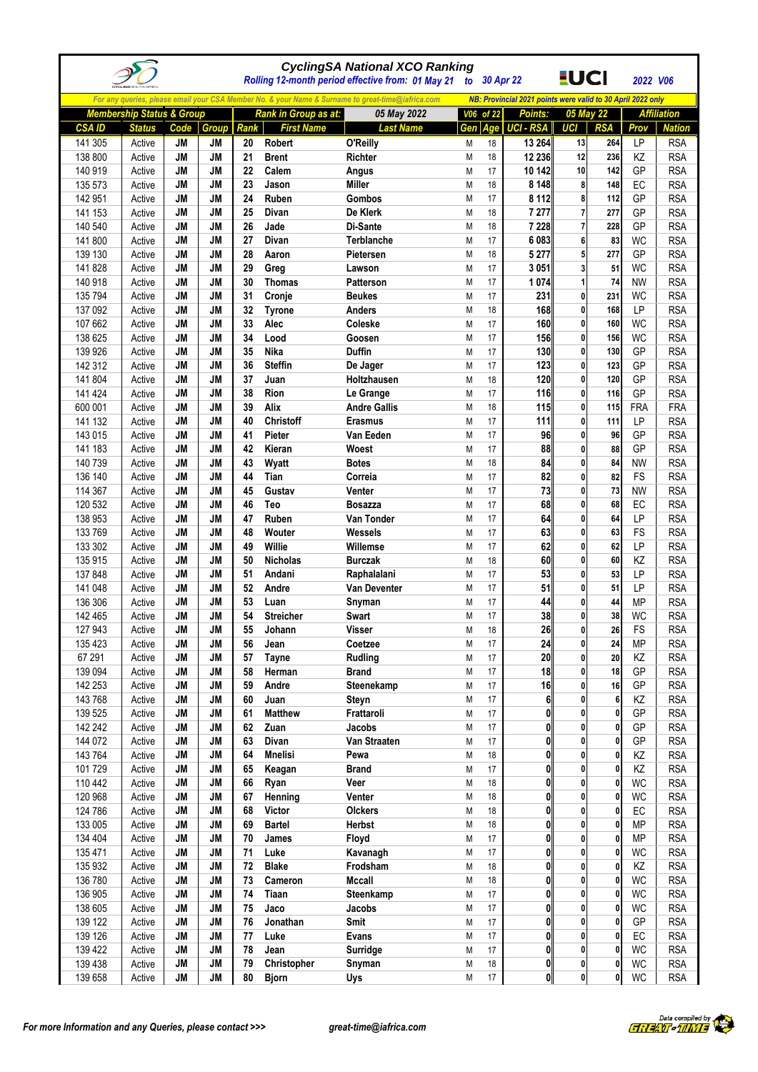|                    |                                      |                        |                        |          |                             | <b>CyclingSA National XCO Ranking</b><br>Rolling 12-month period effective from: 01 May 21        |        |           | to 30 Apr 22                                                | <u>EUCI</u>    |                 | 2022 V06        |                          |
|--------------------|--------------------------------------|------------------------|------------------------|----------|-----------------------------|---------------------------------------------------------------------------------------------------|--------|-----------|-------------------------------------------------------------|----------------|-----------------|-----------------|--------------------------|
|                    |                                      |                        |                        |          |                             | For any queries, please email your CSA Member No. & your Name & Surname to great-time@iafrica.com |        |           | NB: Provincial 2021 points were valid to 30 April 2022 only |                |                 |                 |                          |
|                    | <b>Membership Status &amp; Group</b> |                        |                        |          | <b>Rank in Group as at:</b> | 05 May 2022                                                                                       |        | V06 of 22 | <b>Points:</b>                                              |                | 05 May 22       |                 | <b>Affiliation</b>       |
| <b>CSAID</b>       | <b>Status</b>                        | Code                   | <b>Group</b>           | Rank     | <b>First Name</b>           | <b>Last Name</b>                                                                                  | Gen    | Age       | <b>UCI - RSA</b>                                            | UCI            | <b>RSA</b>      | Prov            | <b>Nation</b>            |
| 141 305            | Active                               | JM                     | JM                     | 20       | Robert                      | O'Reilly                                                                                          | M      | 18        | 13 264                                                      | 13             | 264             | LP              | <b>RSA</b>               |
| 138 800            | Active                               | <b>JM</b>              | <b>JM</b>              | 21       | <b>Brent</b>                | <b>Richter</b>                                                                                    | M      | 18        | 12 236                                                      | 12             | 236             | KZ              | <b>RSA</b>               |
| 140 919            | Active                               | <b>JM</b>              | <b>JM</b>              | 22       | Calem                       | Angus                                                                                             | M      | 17        | 10 142                                                      | 10             | 142             | GP              | <b>RSA</b>               |
| 135 573            | Active                               | <b>JM</b>              | <b>JM</b>              | 23       | Jason                       | <b>Miller</b>                                                                                     | М      | 18        | 8 1 4 8                                                     | 8              | 148             | EC              | <b>RSA</b>               |
| 142 951            | Active                               | <b>JM</b>              | <b>JM</b>              | 24       | Ruben                       | <b>Gombos</b>                                                                                     | M      | 17        | 8 1 1 2                                                     | 8              | 112             | GP              | <b>RSA</b>               |
| 141 153            | Active                               | <b>JM</b>              | <b>JM</b>              | 25       | Divan                       | De Klerk                                                                                          | M      | 18        | 7 277                                                       | 7              | 277             | GP              | <b>RSA</b>               |
| 140 540            | Active                               | <b>JM</b>              | <b>JM</b>              | 26       | Jade                        | Di-Sante                                                                                          | M      | 18        | 7 2 2 8                                                     | $\overline{7}$ | 228             | GP              | <b>RSA</b>               |
| 141 800            | Active                               | <b>JM</b>              | <b>JM</b>              | 27       | Divan                       | Terblanche                                                                                        | M      | 17        | 6083                                                        | 6              | 83              | <b>WC</b>       | <b>RSA</b>               |
| 139 130            | Active                               | JM                     | <b>JM</b>              | 28       | Aaron                       | Pietersen                                                                                         | M      | 18        | 5 2 7 7                                                     | 5              | 277             | GP              | <b>RSA</b>               |
| 141 828            | Active                               | <b>JM</b>              | <b>JM</b>              | 29       | Greg                        | Lawson                                                                                            | M      | 17        | 3 0 5 1                                                     |                | 51              | WC              | <b>RSA</b>               |
| 140 918            | Active                               | <b>JM</b>              | <b>JM</b>              | 30       | <b>Thomas</b>               | <b>Patterson</b>                                                                                  | M      | 17        | 1074                                                        | 1              | 74              | <b>NW</b>       | <b>RSA</b>               |
| 135 794<br>137 092 | Active<br>Active                     | <b>JM</b><br><b>JM</b> | <b>JM</b><br><b>JM</b> | 31<br>32 | Cronje<br><b>Tyrone</b>     | <b>Beukes</b><br><b>Anders</b>                                                                    | M<br>M | 17<br>18  | 231<br>168                                                  | 0<br>0         | 231<br>168      | <b>WC</b><br>LP | <b>RSA</b><br><b>RSA</b> |
| 107 662            | Active                               | <b>JM</b>              | <b>JM</b>              | 33       | Alec                        | Coleske                                                                                           | M      | 17        | 160                                                         | 0              | 160             | <b>WC</b>       | <b>RSA</b>               |
| 138 625            | Active                               | <b>JM</b>              | <b>JM</b>              | 34       | Lood                        | Goosen                                                                                            | M      | 17        | 156                                                         | 0              | 156             | <b>WC</b>       | <b>RSA</b>               |
| 139 926            | Active                               | <b>JM</b>              | <b>JM</b>              | 35       | <b>Nika</b>                 | <b>Duffin</b>                                                                                     | M      | 17        | 130                                                         | 0              | 130             | GP              | <b>RSA</b>               |
| 142 312            | Active                               | <b>JM</b>              | <b>JM</b>              | 36       | <b>Steffin</b>              | De Jager                                                                                          | M      | 17        | 123                                                         | 0              | 123             | GP              | <b>RSA</b>               |
| 141 804            | Active                               | <b>JM</b>              | <b>JM</b>              | 37       | Juan                        | Holtzhausen                                                                                       | M      | 18        | 120                                                         | $\mathbf{0}$   | 120             | GP              | <b>RSA</b>               |
| 141 424            | Active                               | <b>JM</b>              | <b>JM</b>              | 38       | Rion                        | Le Grange                                                                                         | M      | 17        | 116                                                         | $\mathbf{0}$   | 116             | GP              | <b>RSA</b>               |
| 600 001            | Active                               | <b>JM</b>              | <b>JM</b>              | 39       | Alix                        | <b>Andre Gallis</b>                                                                               | M      | 18        | 115                                                         | 0              | 115             | FRA             | <b>FRA</b>               |
| 141 132            | Active                               | <b>JM</b>              | <b>JM</b>              | 40       | Christoff                   | <b>Erasmus</b>                                                                                    | M      | 17        | 111                                                         | 0              | 111             | <b>LP</b>       | <b>RSA</b>               |
| 143 015            | Active                               | <b>JM</b>              | <b>JM</b>              | 41       | Pieter                      | Van Eeden                                                                                         | M      | 17        | 96                                                          | 0              | 96              | GP              | <b>RSA</b>               |
| 141 183            | Active                               | JM                     | <b>JM</b>              | 42       | Kieran                      | Woest                                                                                             | M      | 17        | 88                                                          | 0              | 88              | GP              | <b>RSA</b>               |
| 140 739            | Active                               | <b>JM</b>              | <b>JM</b>              | 43       | Wyatt                       | <b>Botes</b>                                                                                      | Μ      | 18        | 84                                                          | 0              | 84              | <b>NW</b>       | <b>RSA</b>               |
| 136 140            | Active                               | <b>JM</b>              | <b>JM</b>              | 44       | Tian                        | Correia                                                                                           | M      | 17        | 82                                                          | 0              | 82              | FS              | <b>RSA</b>               |
| 114 367            | Active                               | <b>JM</b>              | <b>JM</b>              | 45       | Gustav                      | Venter                                                                                            | M      | 17        | 73                                                          | 0              | 73              | <b>NW</b>       | <b>RSA</b>               |
| 120 532            | Active                               | <b>JM</b>              | <b>JM</b>              | 46       | Teo                         | <b>Bosazza</b>                                                                                    | M      | 17        | 68                                                          | 0              | 68              | EC              | <b>RSA</b>               |
| 138 953            | Active                               | <b>JM</b>              | <b>JM</b>              | 47       | Ruben                       | Van Tonder                                                                                        | M      | 17        | 64                                                          | 0              | 64              | LP              | <b>RSA</b>               |
| 133 769            | Active                               | <b>JM</b>              | <b>JM</b>              | 48       | Wouter                      | <b>Wessels</b>                                                                                    | M      | 17        | 63                                                          | 0              | 63              | FS              | <b>RSA</b>               |
| 133 302            | Active                               | <b>JM</b>              | <b>JM</b>              | 49       | Willie                      | Willemse                                                                                          | M      | 17        | 62                                                          | 0              | 62              | LP              | <b>RSA</b>               |
| 135 915            | Active                               | <b>JM</b>              | <b>JM</b>              | 50       | <b>Nicholas</b>             | <b>Burczak</b>                                                                                    | M      | 18        | 60                                                          | 0              | 60              | KZ              | <b>RSA</b>               |
| 137 848            | Active                               | <b>JM</b>              | <b>JM</b>              | 51       | Andani                      | Raphalalani                                                                                       | M      | 17<br>17  | 53                                                          | 0<br>0         | 53<br>51        | LP<br>LP        | <b>RSA</b>               |
| 141 048<br>136 306 | Active<br>Active                     | <b>JM</b><br><b>JM</b> | <b>JM</b><br><b>JM</b> | 52<br>53 | Andre<br>Luan               | Van Deventer                                                                                      | M<br>M | 17        | 51<br>44                                                    | 0              | 44              | MP              | <b>RSA</b><br><b>RSA</b> |
| 142 465            | Active                               | <b>JM</b>              | <b>JM</b>              | 54       | <b>Streicher</b>            | Snyman<br>Swart                                                                                   | M      | 17        | 38                                                          | $\mathbf{0}$   | 38              | <b>WC</b>       | <b>RSA</b>               |
| 127 943            | Active                               | JM                     | JM                     | 55       | Johann                      | Visser                                                                                            | M      | 18        | 26                                                          |                | 26              | FS              | <b>RSA</b>               |
| 135 423            | Active                               | <b>JM</b>              | <b>JM</b>              | 56       | Jean                        | Coetzee                                                                                           | M      | 17        | 24                                                          | 0              | 24              | <b>MP</b>       | <b>RSA</b>               |
| 67 291             | Active                               | JM                     | JM                     | 57       | <b>Tayne</b>                | <b>Rudling</b>                                                                                    | М      | 17        | 20                                                          | 0              | 20              | KZ              | <b>RSA</b>               |
| 139 094            | Active                               | JM                     | JM                     | 58       | Herman                      | <b>Brand</b>                                                                                      | M      | 17        | 18                                                          | 0              | 18              | GP              | <b>RSA</b>               |
| 142 253            | Active                               | JM                     | <b>JM</b>              | 59       | Andre                       | Steenekamp                                                                                        | М      | 17        | 16                                                          | 0              | 16              | GP              | <b>RSA</b>               |
| 143 768            | Active                               | JM                     | JM                     | 60       | Juan                        | Steyn                                                                                             | М      | 17        | 6 <sup>1</sup>                                              | 0              | $6\phantom{.}6$ | KZ              | <b>RSA</b>               |
| 139 525            | Active                               | JM                     | JM                     | 61       | <b>Matthew</b>              | Frattaroli                                                                                        | M      | 17        | $\mathbf{0}$                                                | 0              | 0               | GP              | <b>RSA</b>               |
| 142 242            | Active                               | JM                     | JM                     | 62       | Zuan                        | Jacobs                                                                                            | М      | 17        | 0                                                           | 0              | 0               | GP              | <b>RSA</b>               |
| 144 072            | Active                               | JM                     | JM                     | 63       | <b>Divan</b>                | Van Straaten                                                                                      | М      | 17        | Ol                                                          | 0              | 0               | GP              | <b>RSA</b>               |
| 143 764            | Active                               | JM                     | JM                     | 64       | <b>Mnelisi</b>              | Pewa                                                                                              | М      | 18        | $\mathbf{0}$                                                | 0              | 0               | ΚZ              | <b>RSA</b>               |
| 101 729            | Active                               | <b>JM</b>              | <b>JM</b>              | 65       | Keagan                      | <b>Brand</b>                                                                                      | М      | 17        | $\mathbf{0}$                                                | $\mathbf{0}$   | $\mathbf{0}$    | KZ              | <b>RSA</b>               |
| 110 442            | Active                               | JM                     | JM                     | 66       | Ryan                        | Veer                                                                                              | М      | 18        | 0                                                           | 0              | 0               | <b>WC</b>       | <b>RSA</b>               |
| 120 968            | Active                               | JM                     | JM                     | 67       | Henning                     | Venter                                                                                            | М      | 18        | 0                                                           | 0              | 0               | <b>WC</b>       | <b>RSA</b>               |
| 124 786            | Active                               | JM                     | JM                     | 68       | <b>Victor</b>               | Olckers                                                                                           | М      | 18        | O                                                           | 0              | 0               | EC              | <b>RSA</b>               |
| 133 005            | Active                               | JM                     | JM                     | 69       | <b>Bartel</b>               | <b>Herbst</b>                                                                                     | М      | 18        | 0                                                           | 0              | 0               | <b>MP</b>       | <b>RSA</b>               |
| 134 404            | Active                               | JM                     | JM<br>JM               | 70<br>71 | James<br>Luke               | Floyd                                                                                             | М      | 17<br>17  | $\mathbf{0}$<br>$\mathbf{0}$                                | 0<br>0         | 0<br>0          | <b>MP</b>       | <b>RSA</b>               |
| 135 471<br>135 932 | Active<br>Active                     | JM<br>JM               | JM                     | 72       | <b>Blake</b>                | Kavanagh<br>Frodsham                                                                              | М<br>М | 18        | $\mathbf{0}$                                                | 0              | 0               | <b>WC</b><br>KZ | <b>RSA</b><br><b>RSA</b> |
| 136 780            | Active                               | JM                     | JM                     | 73       | Cameron                     | Mccall                                                                                            | М      | 18        | 0                                                           | 0              | 0               | <b>WC</b>       | <b>RSA</b>               |
| 136 905            | Active                               | JM                     | JM                     | 74       | Tiaan                       | Steenkamp                                                                                         | М      | 17        | Ol                                                          | 0              | 0               | <b>WC</b>       | <b>RSA</b>               |
| 138 605            | Active                               | JM                     | JM                     | 75       | Jaco                        | Jacobs                                                                                            | М      | 17        | $\mathbf{0}$                                                | 0              | 0               | <b>WC</b>       | <b>RSA</b>               |
| 139 122            | Active                               | JM                     | <b>JM</b>              | 76       | Jonathan                    | Smit                                                                                              | М      | 17        | $\mathbf{0}$                                                | $\mathbf{0}$   | 0               | GP              | <b>RSA</b>               |
| 139 126            | Active                               | JM                     | JM                     | 77       | Luke                        | <b>Evans</b>                                                                                      | М      | 17        | 0                                                           | $\mathbf{0}$   | $\mathbf{0}$    | EC              | <b>RSA</b>               |
| 139 422            | Active                               | JM                     | JM                     | 78       | Jean                        | Surridge                                                                                          | М      | 17        | 0                                                           | 0              | 0               | <b>WC</b>       | <b>RSA</b>               |
| 139 438            | Active                               | JM                     | JM                     | 79       | Christopher                 | Snyman                                                                                            | М      | 18        | $\mathbf{0}$                                                | $\mathbf{0}$   | $\mathbf{0}$    | WC              | <b>RSA</b>               |
| 139 658            | Active                               | JM                     | JM                     | 80       | <b>Bjorn</b>                | Uys                                                                                               | M      | 17        | 0                                                           | $\bf{0}$       | $\mathbf 0$     | WC              | <b>RSA</b>               |

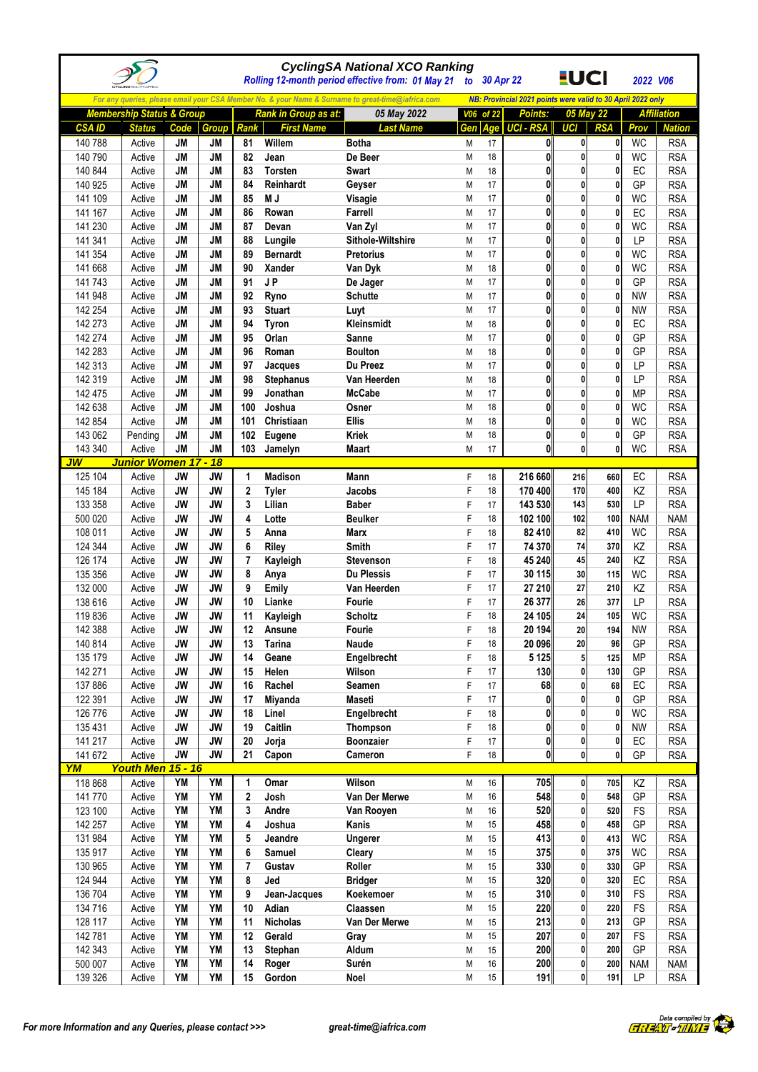|                    |                                      |                        |                        |             |                             | <b>CyclingSA National XCO Ranking</b><br>Rolling 12-month period effective from: 01 May 21        | to 30 Apr 22 |          |                                                             | <u>EUCI</u>                  |                   | 2022 V06          |                          |
|--------------------|--------------------------------------|------------------------|------------------------|-------------|-----------------------------|---------------------------------------------------------------------------------------------------|--------------|----------|-------------------------------------------------------------|------------------------------|-------------------|-------------------|--------------------------|
|                    |                                      |                        |                        |             |                             | For any queries, please email your CSA Member No. & your Name & Surname to great-time@iafrica.com |              |          | NB: Provincial 2021 points were valid to 30 April 2022 only |                              |                   |                   |                          |
|                    | <b>Membership Status &amp; Group</b> |                        |                        |             | <b>Rank in Group as at:</b> | 05 May 2022                                                                                       | V06 of 22    |          | Points:                                                     | 05 May 22                    |                   |                   | <b>Affiliation</b>       |
| <b>CSA ID</b>      | <b>Status</b>                        | Code                   | Group                  | <b>Rank</b> | <b>First Name</b>           | <b>Last Name</b>                                                                                  | Gen          | Age      | <b>UCI - RSA</b>                                            | UCI                          | <b>RSA</b>        | Prov              | <b>Nation</b>            |
| 140 788            | Active                               | JM                     | JM                     | 81          | Willem                      | <b>Botha</b>                                                                                      | Μ            | 17       | $\mathbf{0}$                                                | $\mathbf{0}$                 | 0                 | WC                | <b>RSA</b>               |
| 140 790            | Active                               | <b>JM</b>              | <b>JM</b>              | 82          | Jean                        | De Beer                                                                                           | M            | 18       | $\mathbf{0}$                                                | $\mathbf{0}$                 | 0                 | <b>WC</b>         | <b>RSA</b>               |
| 140 844            | Active                               | <b>JM</b>              | <b>JM</b>              | 83          | <b>Torsten</b>              | <b>Swart</b>                                                                                      | M            | 18       | $\mathbf{0}$                                                | $\mathbf{0}$                 | 0                 | EC                | <b>RSA</b>               |
| 140 925            | Active                               | <b>JM</b>              | <b>JM</b>              | 84          | Reinhardt                   | Geyser                                                                                            | M            | 17       | $\mathbf{0}$                                                | $\mathbf{0}$                 | 0                 | GP                | <b>RSA</b>               |
| 141 109            | Active                               | <b>JM</b>              | <b>JM</b>              | 85          | M J                         | Visagie                                                                                           | M            | 17       | $\mathbf{0}$                                                | $\mathbf{0}$                 | 0                 | <b>WC</b>         | <b>RSA</b>               |
| 141 167            | Active                               | <b>JM</b>              | <b>JM</b>              | 86          | Rowan                       | Farrell                                                                                           | M            | 17       | $\bf{0}$                                                    | $\mathbf{0}$                 | 0                 | EC                | <b>RSA</b>               |
| 141 230            | Active                               | <b>JM</b>              | <b>JM</b>              | 87          | Devan                       | Van Zyl                                                                                           | M            | 17       | $\mathbf{0}$                                                | $\mathbf 0$                  | 0                 | <b>WC</b>         | <b>RSA</b>               |
| 141 341            | Active                               | <b>JM</b>              | <b>JM</b>              | 88          | Lungile                     | Sithole-Wiltshire                                                                                 | Μ            | 17       | $\mathbf{0}$                                                | $\mathbf{0}$                 | 0                 | LP                | <b>RSA</b>               |
| 141 354            | Active                               | <b>JM</b>              | <b>JM</b>              | 89          | <b>Bernardt</b>             | <b>Pretorius</b>                                                                                  | M            | 17       | 0                                                           | $\mathbf{0}$                 | 0                 | WC                | <b>RSA</b>               |
| 141 668            | Active                               | <b>JM</b>              | <b>JM</b>              | 90          | Xander                      | Van Dyk                                                                                           | M            | 18       | $\mathbf{0}$                                                | $\mathbf{0}$                 | $\mathbf{0}$      | WC                | <b>RSA</b>               |
| 141 743            | Active                               | <b>JM</b>              | <b>JM</b>              | 91          | JP                          | De Jager                                                                                          | M            | 17       | 0                                                           | $\mathbf{0}$                 | 0                 | GP                | <b>RSA</b>               |
| 141 948            | Active                               | <b>JM</b>              | <b>JM</b>              | 92          | Ryno                        | <b>Schutte</b>                                                                                    | M            | 17       | $\mathbf{0}$                                                | $\mathbf{0}$                 | 0                 | <b>NW</b>         | <b>RSA</b>               |
| 142 254            | Active                               | <b>JM</b>              | <b>JM</b>              | 93          | <b>Stuart</b>               | Luyt                                                                                              | Μ            | 17       | $\mathbf{0}$                                                | $\mathbf{0}$                 | 0                 | <b>NW</b>         | <b>RSA</b>               |
| 142 273            | Active                               | <b>JM</b>              | <b>JM</b>              | 94          | <b>Tyron</b>                | Kleinsmidt                                                                                        | Μ            | 18       | $\mathbf{0}$                                                | $\mathbf{0}$                 | 0                 | EC                | <b>RSA</b>               |
| 142 274            | Active                               | <b>JM</b>              | <b>JM</b>              | 95          | Orlan                       | Sanne                                                                                             | M            | 17       | $\mathbf{0}$                                                | $\mathbf{0}$                 | 0                 | GP                | <b>RSA</b>               |
| 142 283            | Active                               | <b>JM</b>              | <b>JM</b>              | 96          | Roman                       | <b>Boulton</b>                                                                                    | M            | 18<br>17 | 0<br>$\bf{0}$                                               | $\mathbf{0}$<br>$\mathbf{0}$ | 0<br>0            | GP<br>LP          | <b>RSA</b>               |
| 142 313<br>142 319 | Active<br>Active                     | <b>JM</b><br><b>JM</b> | <b>JM</b><br><b>JM</b> | 97<br>98    | Jacques<br><b>Stephanus</b> | Du Preez<br>Van Heerden                                                                           | M            | 18       | $\mathbf{0}$                                                | $\mathbf{0}$                 | 0                 | LP                | <b>RSA</b><br><b>RSA</b> |
| 142 475            | Active                               | <b>JM</b>              | <b>JM</b>              | 99          | Jonathan                    | <b>McCabe</b>                                                                                     | M<br>Μ       | 17       | $\mathbf{0}$                                                | $\mathbf{0}$                 | 0                 | <b>MP</b>         | <b>RSA</b>               |
| 142 638            | Active                               | <b>JM</b>              | <b>JM</b>              | 100         | Joshua                      | Osner                                                                                             | M            | 18       | 0                                                           | $\mathbf{0}$                 | 0                 | <b>WC</b>         | <b>RSA</b>               |
| 142 854            | Active                               | <b>JM</b>              | <b>JM</b>              | 101         | Christiaan                  | <b>Ellis</b>                                                                                      | M            | 18       | $\mathbf{0}$                                                | $\mathbf{0}$                 | $\mathbf{0}$      | WC                | <b>RSA</b>               |
| 143 062            | Pending                              | <b>JM</b>              | <b>JM</b>              | 102         | Eugene                      | <b>Kriek</b>                                                                                      | M            | 18       | 0                                                           | $\mathbf{0}$                 | 0                 | GP                | <b>RSA</b>               |
| 143 340            | Active                               | <b>JM</b>              | <b>JM</b>              | 103         | Jamelyn                     | Maart                                                                                             | М            | 17       | $\mathbf{0}$                                                | $\mathbf{0}$                 | $\mathbf 0$       | WC                | <b>RSA</b>               |
| JW                 | <b>Junior Women 17 - 18</b>          |                        |                        |             |                             |                                                                                                   |              |          |                                                             |                              |                   |                   |                          |
| 125 104            | Active                               | <b>JW</b>              | <b>JW</b>              | 1           | <b>Madison</b>              | Mann                                                                                              | F            | 18       | 216 660                                                     | 216                          | 660               | EC                | <b>RSA</b>               |
| 145 184            | Active                               | <b>JW</b>              | <b>JW</b>              | $\mathbf 2$ | <b>Tyler</b>                | Jacobs                                                                                            | F            | 18       | 170 400                                                     | 170                          | 400               | KZ                | <b>RSA</b>               |
| 133 358            | Active                               | <b>JW</b>              | <b>JW</b>              | 3           | Lilian                      | <b>Baber</b>                                                                                      | F            | 17       | 143 530                                                     | 143                          | 530               | LP                | <b>RSA</b>               |
| 500 020            | Active                               | <b>JW</b>              | <b>JW</b>              | 4           | Lotte                       | <b>Beulker</b>                                                                                    | F            | 18       | 102 100                                                     | 102                          | 100               | <b>NAM</b>        | <b>NAM</b>               |
| 108 011            | Active                               | <b>JW</b>              | <b>JW</b>              | 5           | Anna                        | <b>Marx</b>                                                                                       | F            | 18       | 82 410                                                      | 82                           | 410               | <b>WC</b>         | <b>RSA</b>               |
| 124 344            | Active                               | <b>JW</b>              | <b>JW</b>              | 6           | Riley                       | Smith                                                                                             | F            | 17       | 74 370                                                      | 74                           | 370               | KZ                | <b>RSA</b>               |
| 126 174            | Active                               | <b>JW</b>              | <b>JW</b>              | 7           | Kayleigh                    | <b>Stevenson</b>                                                                                  | F            | 18       | 45 240                                                      | 45                           | 240               | KZ                | <b>RSA</b>               |
| 135 356            | Active                               | <b>JW</b>              | <b>JW</b>              | 8           | Anya                        | <b>Du Plessis</b>                                                                                 | F            | 17       | 30 115                                                      | 30                           | 115               | <b>WC</b>         | <b>RSA</b>               |
| 132 000            | Active                               | <b>JW</b>              | <b>JW</b>              | 9           | <b>Emily</b>                | Van Heerden                                                                                       | F            | 17       | 27 210                                                      | 27                           | 210               | ΚZ                | <b>RSA</b>               |
| 138 616            | Active                               | <b>JW</b>              | <b>JW</b>              | 10          | Lianke                      | Fourie                                                                                            | F            | 17       | 26 377                                                      | 26                           | 377               | LP                | <b>RSA</b>               |
| 119836             | Active                               | <b>JW</b>              | <b>JW</b>              | 11          | Kayleigh                    | <b>Scholtz</b>                                                                                    | F            | 18       | 24 105                                                      | 24                           | 105               | <b>WC</b>         | <b>RSA</b>               |
| 142 388            | Active                               | <b>JW</b>              | JW                     | 12          | Ansune                      | Fourie                                                                                            |              | 18       | 20 194                                                      | 20                           | 194               | <b>NW</b>         | <b>RSA</b>               |
| 140 814            | Active                               | <b>JW</b>              | <b>JW</b>              | 13          | <b>Tarina</b>               | Naude                                                                                             | F            | 18       | 20 096                                                      | 20                           | 96                | GP                | <b>RSA</b>               |
| 135 179            | Active                               | <b>JW</b>              | <b>JW</b>              | 14          | Geane                       | Engelbrecht                                                                                       | F            | 18       | 5 1 2 5                                                     | 5 <sub>l</sub>               | 125               | <b>MP</b>         | <b>RSA</b>               |
| 142 271            | Active                               | <b>JW</b>              | <b>JW</b>              | 15          | Helen                       | Wilson                                                                                            | F            | 17       | 130                                                         | $\mathbf{0}$                 | 130               | GP                | <b>RSA</b>               |
| 137 886            | Active                               | JW                     | JW                     | 16          | Rachel                      | Seamen                                                                                            | F            | 17       | 68                                                          | $\mathbf{0}$                 | 68                | EC                | <b>RSA</b>               |
| 122 391            | Active                               | <b>JW</b>              | <b>JW</b>              | 17          | Miyanda                     | <b>Maseti</b>                                                                                     | F<br>F       | 17<br>18 | $\pmb{0}$<br>$\mathbf{0}$                                   | $\mathbf{0}$<br>$\mathbf{0}$ | $\mathbf{0}$<br>0 | GP                | <b>RSA</b>               |
| 126 776            | Active                               | <b>JW</b><br><b>JW</b> | <b>JW</b><br><b>JW</b> | 18<br>19    | Linel<br>Caitlin            | Engelbrecht                                                                                       | F            |          | $\mathbf{0}$                                                | $\mathbf{0}$                 | 0                 | <b>WC</b>         | <b>RSA</b><br><b>RSA</b> |
| 135 431<br>141 217 | Active<br>Active                     | <b>JW</b>              | <b>JW</b>              | 20          | Jorja                       | Thompson<br>Boonzaier                                                                             | F            | 18<br>17 | $\pmb{0}$                                                   | $\mathbf{0}$                 | 0                 | <b>NW</b><br>$EC$ | <b>RSA</b>               |
| 141 672            | Active                               | <b>JW</b>              | <b>JW</b>              | 21          | Capon                       | Cameron                                                                                           | F            | 18       | $\mathbf{0}$                                                | $\mathbf{0}$                 | 0                 | GP                | <b>RSA</b>               |
| $\overline{YM}$    | Youth Men 15 - 16                    |                        |                        |             |                             |                                                                                                   |              |          |                                                             |                              |                   |                   |                          |
| 118 868            | Active                               | YM                     | YM                     | 1           | Omar                        | Wilson                                                                                            | Μ            | 16       | 705                                                         | $\mathbf{0}$                 | 705               | KZ                | <b>RSA</b>               |
| 141 770            | Active                               | YM                     | <b>YM</b>              | 2           | Josh                        | Van Der Merwe                                                                                     | M            | 16       | 548                                                         | $\mathbf{0}$                 | 548               | GP                | <b>RSA</b>               |
| 123 100            | Active                               | YM                     | YM                     | 3           | Andre                       | Van Rooyen                                                                                        | M            | 16       | 520                                                         | $\mathbf{0}$                 | 520               | FS                | <b>RSA</b>               |
| 142 257            | Active                               | YM                     | YM                     | 4           | Joshua                      | Kanis                                                                                             | М            | 15       | 458                                                         | $\mathbf{0}$                 | 458               | GP                | <b>RSA</b>               |
| 131 984            | Active                               | YM                     | <b>YM</b>              | 5           | Jeandre                     | Ungerer                                                                                           | M            | 15       | 413                                                         | $\mathbf{0}$                 | 413               | <b>WC</b>         | <b>RSA</b>               |
| 135 917            | Active                               | YM                     | YM                     | 6           | Samuel                      | Cleary                                                                                            | M            | 15       | 375                                                         | $\mathbf{0}$                 | 375               | <b>WC</b>         | <b>RSA</b>               |
| 130 965            | Active                               | YM                     | YM                     | 7           | Gustav                      | Roller                                                                                            | M            | 15       | 330                                                         | $\mathbf{0}$                 | 330               | GP                | <b>RSA</b>               |
| 124 944            | Active                               | <b>YM</b>              | YM                     | 8           | Jed                         | <b>Bridger</b>                                                                                    | M            | 15       | 320                                                         | $\mathbf{0}$                 | 320               | EC                | <b>RSA</b>               |
| 136 704            | Active                               | YM                     | YM                     | 9           | Jean-Jacques                | Koekemoer                                                                                         | М            | 15       | 310                                                         | $\mathbf{0}$                 | 310               | FS                | <b>RSA</b>               |
| 134 716            | Active                               | YM                     | YM                     | 10          | Adian                       | Claassen                                                                                          | М            | 15       | 220                                                         | $\mathbf{0}$                 | 220               | FS                | <b>RSA</b>               |
| 128 117            | Active                               | YM                     | YM                     | 11          | <b>Nicholas</b>             | Van Der Merwe                                                                                     | Μ            | 15       | 213                                                         | $\mathbf{0}$                 | 213               | GP                | <b>RSA</b>               |
| 142 781            | Active                               | YM                     | YM                     | 12          | Gerald                      | Gray                                                                                              | М            | 15       | 207                                                         | $\mathbf{0}$                 | 207               | <b>FS</b>         | <b>RSA</b>               |
| 142 343            | Active                               | YM                     | YM                     | 13          | Stephan                     | Aldum                                                                                             | M            | 15       | 200                                                         | $\mathbf{0}$                 | 200               | GP                | <b>RSA</b>               |
| 500 007            | Active                               | YM                     | YM                     | 14          | Roger                       | Surén                                                                                             | M            | 16       | 200                                                         | $\mathbf{0}$                 | 200               | <b>NAM</b>        | <b>NAM</b>               |
| 139 326            | Active                               | YM                     | YM                     | 15          | Gordon                      | Noel                                                                                              | M            | 15       | 191                                                         | 0                            | 191               | LP                | <b>RSA</b>               |

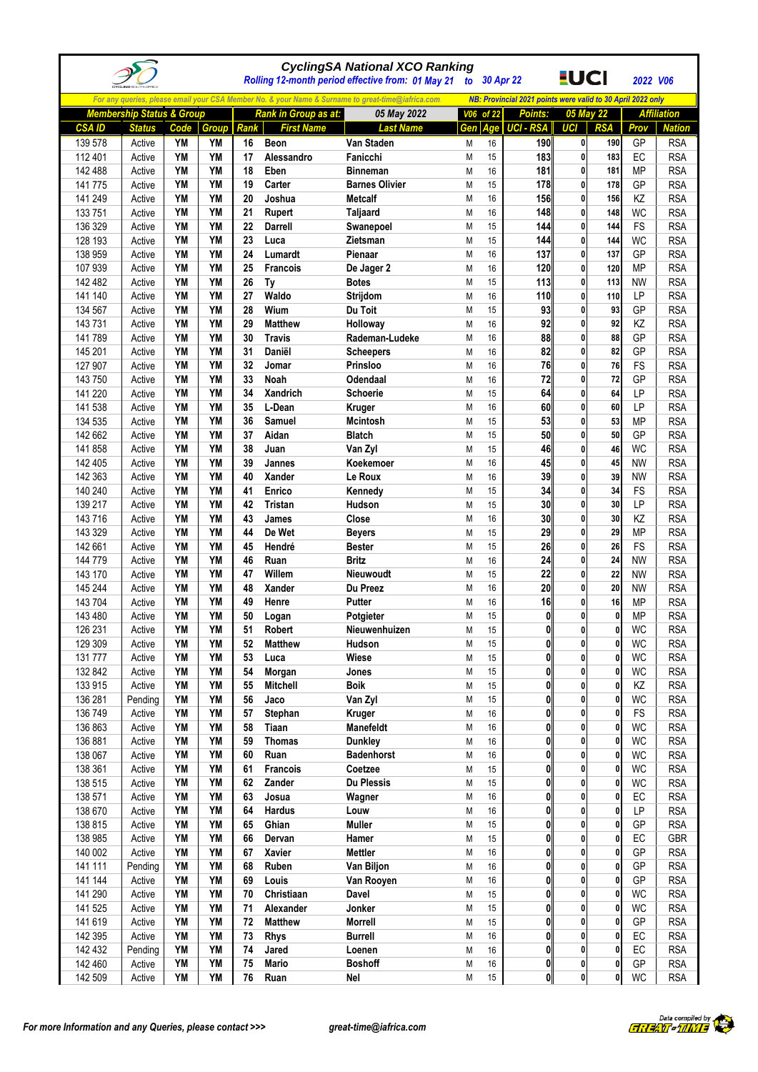|                    |                                      |                 |                 |          |                               | <b>CyclingSA National XCO Ranking</b><br>Rolling 12-month period effective from: 01 May 21        |        | to 30 Apr 22 |                                                                        | <u>EUCI</u>                  |              | 2022 V06               |                          |
|--------------------|--------------------------------------|-----------------|-----------------|----------|-------------------------------|---------------------------------------------------------------------------------------------------|--------|--------------|------------------------------------------------------------------------|------------------------------|--------------|------------------------|--------------------------|
|                    |                                      |                 |                 |          |                               | For any queries, please email your CSA Member No. & your Name & Surname to great-time@iafrica.com |        |              |                                                                        |                              |              |                        |                          |
|                    | <b>Membership Status &amp; Group</b> |                 |                 |          | Rank in Group as at:          | 05 May 2022                                                                                       |        | V06 of 22    | NB: Provincial 2021 points were valid to 30 April 2022 only<br>Points: |                              | 05 May 22    |                        | <b>Affiliation</b>       |
| <b>CSAID</b>       | <b>Status</b>                        | Code            | <b>Group</b>    | Rank     | <b>First Name</b>             | <b>Last Name</b>                                                                                  | Gen    | Age          | <b>UCI - RSA</b>                                                       | <b>UCI</b>                   | <b>RSA</b>   | Prov                   | <b>Nation</b>            |
| 139 578            | Active                               | YM              | YM              | 16       | <b>Beon</b>                   | Van Staden                                                                                        | M      | 16           | 190                                                                    | $\mathbf{0}$                 | 190          | GP                     | <b>RSA</b>               |
| 112 401            | Active                               | YM              | YM              | 17       | Alessandro                    | Fanicchi                                                                                          | M      | 15           | 183                                                                    | $\mathbf{0}$                 | 183          | EC                     | <b>RSA</b>               |
| 142 488            | Active                               | YM              | YM              | 18       | Eben                          | <b>Binneman</b>                                                                                   | M      | 16           | 181                                                                    | 0                            | 181          | <b>MP</b>              | <b>RSA</b>               |
| 141 775            | Active                               | YM              | <b>YM</b>       | 19       | Carter                        | <b>Barnes Olivier</b>                                                                             | M      | 15           | 178                                                                    | $\mathbf{0}$                 | 178          | GP                     | <b>RSA</b>               |
| 141 249            | Active                               | YM              | YM              | 20       | Joshua                        | <b>Metcalf</b>                                                                                    | M      | 16           | 156                                                                    | 0                            | 156          | KZ                     | <b>RSA</b>               |
| 133 751            | Active                               | YM              | <b>YM</b>       | 21       | Rupert                        | <b>Taljaard</b>                                                                                   | M      | 16           | 148                                                                    | 0                            | 148          | <b>WC</b>              | <b>RSA</b>               |
| 136 329            | Active                               | YM              | YM              | 22       | Darrell                       | Swanepoel                                                                                         | M      | 15           | 144                                                                    | $\mathbf{0}$                 | 144          | FS                     | <b>RSA</b>               |
| 128 193<br>138 959 | Active<br>Active                     | YM<br><b>YM</b> | YM<br><b>YM</b> | 23<br>24 | Luca<br>Lumardt               | Zietsman<br>Pienaar                                                                               | M<br>M | 15<br>16     | 144<br>137                                                             | $\mathbf{0}$<br>0            | 144<br>137   | <b>WC</b><br>GP        | <b>RSA</b><br><b>RSA</b> |
| 107 939            | Active                               | YM              | <b>YM</b>       | 25       | <b>Francois</b>               | De Jager 2                                                                                        | M      | 16           | 120                                                                    | $\mathbf{0}$                 | 120          | MP                     | <b>RSA</b>               |
| 142 482            | Active                               | YM              | YM              | 26       | Ty                            | <b>Botes</b>                                                                                      | M      | 15           | 113                                                                    | 0                            | 113          | <b>NW</b>              | <b>RSA</b>               |
| 141 140            | Active                               | YM              | YM              | 27       | Waldo                         | Strijdom                                                                                          | M      | 16           | 110                                                                    | 0                            | 110          | LP                     | <b>RSA</b>               |
| 134 567            | Active                               | YM              | YM              | 28       | Wium                          | Du Toit                                                                                           | M      | 15           | 93                                                                     | $\mathbf{0}$                 | 93           | GP                     | <b>RSA</b>               |
| 143 731            | Active                               | <b>YM</b>       | YM              | 29       | <b>Matthew</b>                | Holloway                                                                                          | M      | 16           | 92                                                                     | 0                            | 92           | KZ                     | <b>RSA</b>               |
| 141 789            | Active                               | YM              | <b>YM</b>       | 30       | <b>Travis</b>                 | Rademan-Ludeke                                                                                    | M      | 16           | 88                                                                     | $\mathbf{0}$                 | 88           | GP                     | <b>RSA</b>               |
| 145 201            | Active                               | YM              | <b>YM</b>       | 31       | Daniël                        | <b>Scheepers</b>                                                                                  | M      | 16           | 82                                                                     | 0                            | 82           | GP                     | <b>RSA</b>               |
| 127 907            | Active                               | YM              | YM              | 32       | Jomar                         | Prinsloo                                                                                          | M      | 16           | 76                                                                     | 0                            | 76           | FS                     | <b>RSA</b>               |
| 143 750            | Active                               | <b>YM</b>       | <b>YM</b>       | 33       | Noah                          | Odendaal                                                                                          | M      | 16           | 72                                                                     | $\mathbf{0}$                 | 72           | GP                     | <b>RSA</b>               |
| 141 220            | Active                               | YM              | YM              | 34       | <b>Xandrich</b>               | Schoerie                                                                                          | M      | 15           | 64                                                                     | $\mathbf{0}$                 | 64           | LP                     | <b>RSA</b>               |
| 141 538<br>134 535 | Active<br>Active                     | <b>YM</b><br>YM | <b>YM</b><br>YM | 35<br>36 | L-Dean<br><b>Samuel</b>       | <b>Kruger</b><br><b>Mcintosh</b>                                                                  | M<br>M | 16<br>15     | 60<br>53                                                               | 0<br>0                       | 60<br>53     | LP<br><b>MP</b>        | <b>RSA</b><br><b>RSA</b> |
| 142 662            | Active                               | YM              | YM              | 37       | Aidan                         | <b>Blatch</b>                                                                                     | M      | 15           | 50                                                                     | 0                            | 50           | GP                     | <b>RSA</b>               |
| 141 858            | Active                               | YM              | YM              | 38       | Juan                          | Van Zyl                                                                                           | M      | 15           | 46                                                                     | 0                            | 46           | <b>WC</b>              | <b>RSA</b>               |
| 142 405            | Active                               | YM              | YM              | 39       | Jannes                        | Koekemoer                                                                                         | M      | 16           | 45                                                                     | $\mathbf{0}$                 | 45           | <b>NW</b>              | <b>RSA</b>               |
| 142 363            | Active                               | YM              | YM              | 40       | Xander                        | Le Roux                                                                                           | M      | 16           | 39                                                                     | 0                            | 39           | <b>NW</b>              | <b>RSA</b>               |
| 140 240            | Active                               | <b>YM</b>       | <b>YM</b>       | 41       | Enrico                        | Kennedy                                                                                           | M      | 15           | 34                                                                     | $\mathbf{0}$                 | 34           | FS                     | <b>RSA</b>               |
| 139 217            | Active                               | YM              | <b>YM</b>       | 42       | <b>Tristan</b>                | Hudson                                                                                            | М      | 15           | 30                                                                     | 0                            | 30           | LP                     | <b>RSA</b>               |
| 143 716            | Active                               | <b>YM</b>       | YM              | 43       | James                         | Close                                                                                             | M      | 16           | 30                                                                     | 0                            | 30           | KZ                     | <b>RSA</b>               |
| 143 329            | Active                               | YM              | YM              | 44       | De Wet                        | <b>Beyers</b>                                                                                     | M      | 15           | 29                                                                     | $\mathbf{0}$                 | 29           | <b>MP</b>              | <b>RSA</b>               |
| 142 661            | Active                               | YM              | YM              | 45       | Hendré                        | <b>Bester</b>                                                                                     | M      | 15           | 26                                                                     | $\mathbf{0}$                 | 26           | <b>FS</b>              | <b>RSA</b>               |
| 144 779            | Active                               | YM              | <b>YM</b>       | 46       | Ruan                          | <b>Britz</b>                                                                                      | M      | 16           | 24                                                                     | 0                            | 24           | <b>NW</b>              | <b>RSA</b>               |
| 143 170            | Active                               | YM              | <b>YM</b>       | 47       | Willem                        | <b>Nieuwoudt</b>                                                                                  | M      | 15           | 22                                                                     | $\mathbf{0}$                 | 22           | <b>NW</b>              | <b>RSA</b>               |
| 145 244<br>143 704 | Active<br>Active                     | YM<br>YM        | YM<br>YM        | 48<br>49 | Xander<br>Henre               | Du Preez<br>Putter                                                                                | M<br>M | 16<br>16     | 20<br>16                                                               | 0<br>0                       | 20<br>16     | <b>NW</b><br>MP        | <b>RSA</b><br><b>RSA</b> |
| 143 480            | Active                               | YM              | YM              | 50       | Logan                         | Potgieter                                                                                         | M      | 15           | $\mathbf{0}$                                                           | $\mathbf{0}$                 | $\mathbf 0$  | <b>MP</b>              | <b>RSA</b>               |
| 126 231            | Active                               | <b>YM</b>       | <b>YM</b>       | 51       | Robert                        | Nieuwenhuizen                                                                                     | М      | 15           | 0                                                                      | $\pmb{0}$                    | 0            | <b>WC</b>              | <b>RSA</b>               |
| 129 309            | Active                               | YM              | YM              | 52       | <b>Matthew</b>                | Hudson                                                                                            | M      | 15           | 0                                                                      | 0                            | 0            | <b>WC</b>              | <b>RSA</b>               |
| 131 777            | Active                               | YM              | YM              | 53       | Luca                          | Wiese                                                                                             | М      | 15           | $\mathbf{0}$                                                           | $\mathbf{0}$                 | 0            | <b>WC</b>              | <b>RSA</b>               |
| 132 842            | Active                               | YM              | YM              | 54       | Morgan                        | Jones                                                                                             | М      | 15           | 0                                                                      | 0                            | 0            | <b>WC</b>              | <b>RSA</b>               |
| 133 915            | Active                               | YM              | YM              | 55       | <b>Mitchell</b>               | <b>Boik</b>                                                                                       | Μ      | 15           | 0                                                                      | 0                            | 0            | ΚZ                     | <b>RSA</b>               |
| 136 281            | Pending                              | YM              | YM              | 56       | Jaco                          | Van Zyl                                                                                           | М      | 15           | 0                                                                      | $\mathbf{0}$                 | 0            | <b>WC</b>              | <b>RSA</b>               |
| 136 749            | Active                               | YM              | <b>YM</b>       | 57       | Stephan                       | Kruger                                                                                            | М      | 16           | 0                                                                      | 0                            | 0            | <b>FS</b>              | <b>RSA</b>               |
| 136 863            | Active                               | YM              | YM              | 58       | Tiaan                         | Manefeldt                                                                                         | М      | 16           | 0                                                                      | 0                            | 0            | <b>WC</b>              | <b>RSA</b>               |
| 136 881            | Active                               | YM<br>YM        | YM<br>YM        | 59<br>60 | <b>Thomas</b><br>Ruan         | <b>Dunkley</b><br><b>Badenhorst</b>                                                               | М      | 16           | 0<br>0                                                                 | 0<br>0                       | 0<br>0       | <b>WC</b>              | <b>RSA</b>               |
| 138 067<br>138 361 | Active<br>Active                     | YM              | YM              | 61       | <b>Francois</b>               | Coetzee                                                                                           | M<br>М | 16<br>15     | $\bf{0}$                                                               | $\mathbf{0}$                 | 0            | <b>WC</b><br><b>WC</b> | <b>RSA</b><br><b>RSA</b> |
| 138 515            | Active                               | YM              | YM              | 62       | Zander                        | <b>Du Plessis</b>                                                                                 | М      | 15           | 0                                                                      | $\mathbf{0}$                 | 0            | <b>WC</b>              | <b>RSA</b>               |
| 138 571            | Active                               | YM              | YM              | 63       | Josua                         | Wagner                                                                                            | М      | 16           | 0                                                                      | 0                            | 0            | EC                     | <b>RSA</b>               |
| 138 670            | Active                               | YM              | YM              | 64       | <b>Hardus</b>                 | Louw                                                                                              | М      | $16\,$       | 0                                                                      | 0                            | 0            | LP                     | <b>RSA</b>               |
| 138 815            | Active                               | YM              | YM              | 65       | Ghian                         | <b>Muller</b>                                                                                     | М      | 15           | 0                                                                      | 0                            | 0            | GP                     | <b>RSA</b>               |
| 138 985            | Active                               | YM              | YM              | 66       | Dervan                        | Hamer                                                                                             | М      | 15           | 0                                                                      | 0                            | 0            | EC                     | GBR                      |
| 140 002            | Active                               | YM              | YM              | 67       | Xavier                        | <b>Mettler</b>                                                                                    | М      | $16\,$       | 0                                                                      | $\mathbf{0}$                 | 0            | GP                     | <b>RSA</b>               |
| 141 111            | Pending                              | YM              | YM              | 68       | Ruben                         | Van Biljon                                                                                        | М      | 16           | 0                                                                      | 0                            | 0            | GP                     | <b>RSA</b>               |
| 141 144            | Active                               | YM              | YM              | 69       | Louis                         | Van Rooyen                                                                                        | М      | 16           | $\mathbf{0}$                                                           | 0                            | 0            | GP                     | <b>RSA</b>               |
| 141 290            | Active                               | YM              | YM              | 70       | Christiaan                    | Davel                                                                                             | М      | 15           | 0                                                                      | 0                            | 0            | <b>WC</b>              | <b>RSA</b>               |
| 141 525            | Active                               | YM              | YM              | 71       | Alexander                     | Jonker                                                                                            | М      | 15           | 0                                                                      | 0                            | 0            | <b>WC</b>              | <b>RSA</b>               |
| 141 619<br>142 395 | Active<br>Active                     | YM<br>YM        | YM<br>YM        | 72<br>73 | <b>Matthew</b><br><b>Rhys</b> | Morrell<br><b>Burrell</b>                                                                         | М<br>М | 15<br>16     | 0<br>$\bf{0}$                                                          | $\mathbf{0}$<br>$\mathbf{0}$ | 0<br>0       | GP<br>EC               | <b>RSA</b><br><b>RSA</b> |
| 142 432            | Pending                              | YM              | YM              | 74       | Jared                         | Loenen                                                                                            | М      | 16           | 0                                                                      | 0                            | 0            | EC                     | <b>RSA</b>               |
| 142 460            | Active                               | YM              | YM              | 75       | <b>Mario</b>                  | <b>Boshoff</b>                                                                                    | М      | 16           | $\bf{0}$                                                               | $\mathbf{0}$                 | 0            | GP                     | <b>RSA</b>               |
| 142 509            | Active                               | YM              | YM              | 76       | Ruan                          | Nel                                                                                               | М      | 15           | $\mathbf{0}$                                                           | $\mathbf{0}$                 | $\mathbf{0}$ | WC                     | <b>RSA</b>               |
|                    |                                      |                 |                 |          |                               |                                                                                                   |        |              |                                                                        |                              |              |                        |                          |

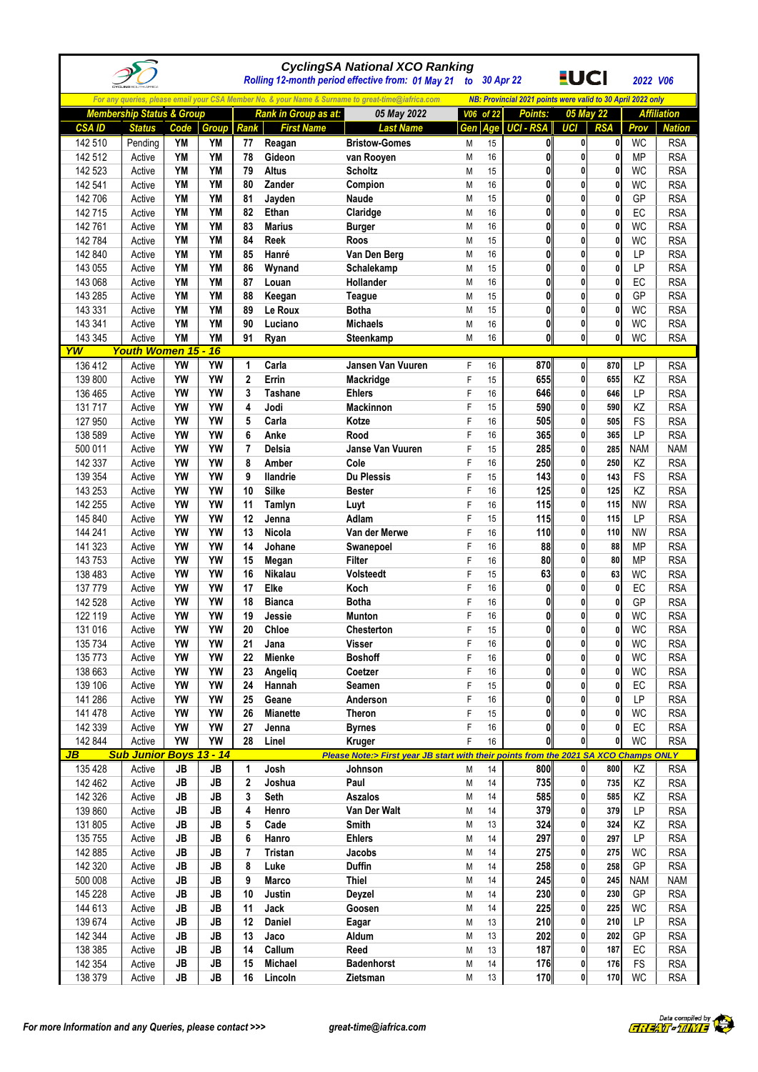|              |                                      |           |           |                |                      | <b>CyclingSA National XCO Ranking</b><br>Rolling 12-month period effective from: 01 May 21        | to 30 Apr 22 |       |                                                             | <u>EUCI</u>  |              | 2022 V06   |                    |
|--------------|--------------------------------------|-----------|-----------|----------------|----------------------|---------------------------------------------------------------------------------------------------|--------------|-------|-------------------------------------------------------------|--------------|--------------|------------|--------------------|
|              |                                      |           |           |                |                      | For any queries, please email your CSA Member No. & your Name & Surname to great-time@iafrica.com |              |       | NB: Provincial 2021 points were valid to 30 April 2022 only |              |              |            |                    |
|              | <b>Membership Status &amp; Group</b> |           |           |                | Rank in Group as at: | 05 May 2022                                                                                       | V06          | of 22 | Points:                                                     |              | 05 May 22    |            | <b>Affiliation</b> |
| <b>CSAID</b> | <b>Status</b>                        | Code      | Group     | Rank           | <b>First Name</b>    | <b>Last Name</b>                                                                                  | Gen          |       | Age UCI - RSA                                               | UCI          | <b>RSA</b>   | Prov       | <b>Nation</b>      |
| 142 510      | Pending                              | YM        | YM        | 77             | Reagan               | <b>Bristow-Gomes</b>                                                                              | M            | 15    | 0                                                           | 0            | 0            | <b>WC</b>  | <b>RSA</b>         |
| 142 512      | Active                               | <b>YM</b> | <b>YM</b> | 78             | Gideon               | van Rooyen                                                                                        | M            | 16    | $\mathbf{0}$                                                | 0            | $\mathbf{0}$ | <b>MP</b>  | <b>RSA</b>         |
| 142 523      | Active                               | YM        | YM        | 79             | <b>Altus</b>         | <b>Scholtz</b>                                                                                    | M            | 15    | $\mathbf{0}$                                                | 0            | 0            | WC         | <b>RSA</b>         |
| 142 541      | Active                               | <b>YM</b> | <b>YM</b> | 80             | Zander               | Compion                                                                                           | M            | 16    | 0                                                           | 0            | 0            | <b>WC</b>  | <b>RSA</b>         |
| 142 706      | Active                               | <b>YM</b> | <b>YM</b> | 81             | Jayden               | Naude                                                                                             | M            | 15    | 0                                                           | 0            | 0            | GP         | <b>RSA</b>         |
| 142 715      | Active                               | <b>YM</b> | <b>YM</b> | 82             | Ethan                | Claridge                                                                                          | M            | 16    | 0                                                           | 0            | 0            | EC         | <b>RSA</b>         |
| 142 761      | Active                               | YM        | <b>YM</b> | 83             | <b>Marius</b>        | <b>Burger</b>                                                                                     | M            | 16    | $\mathbf{0}$                                                | 0            | 0            | <b>WC</b>  | <b>RSA</b>         |
| 142 784      | Active                               | YM        | YM        | 84             | Reek                 | Roos                                                                                              | M            | 15    | $\mathbf{0}$                                                | $\mathbf{0}$ | 0            | <b>WC</b>  | <b>RSA</b>         |
| 142 840      | Active                               | <b>YM</b> | <b>YM</b> | 85             | Hanré                | Van Den Berg                                                                                      | M            | 16    | $\mathbf{0}$                                                | $\mathbf{0}$ | 0            | LP         | <b>RSA</b>         |
| 143 055      | Active                               | YM        | <b>YM</b> | 86             | Wynand               | Schalekamp                                                                                        | M            | 15    | 0                                                           | 0            | 0            | LP         | <b>RSA</b>         |
| 143 068      | Active                               | <b>YM</b> | <b>YM</b> | 87             | Louan                | Hollander                                                                                         | M            | 16    | 0                                                           | 0            | 0            | EC         | <b>RSA</b>         |
| 143 285      | Active                               | <b>YM</b> | YM        | 88             | Keegan               | Teague                                                                                            | M            | 15    | $\mathbf{0}$                                                | 0            | 0            | GP         | <b>RSA</b>         |
| 143 331      | Active                               | <b>YM</b> | <b>YM</b> | 89             | Le Roux              | <b>Botha</b>                                                                                      | M            | 15    | $\mathbf{0}$                                                | 0            | $\mathbf{0}$ | <b>WC</b>  | <b>RSA</b>         |
| 143 341      | Active                               | YM        | YM        | 90             | Luciano              | <b>Michaels</b>                                                                                   | M            | 16    | $\mathbf{0}$                                                | 0            | $\mathbf{0}$ | <b>WC</b>  | <b>RSA</b>         |
| 143 345      | Active                               | YM        | <b>YM</b> | 91             | Ryan                 | Steenkamp                                                                                         | M            | 16    | 0                                                           | 0            | 0            | <b>WC</b>  | <b>RSA</b>         |
| YW           | <b>Youth Women 15 -</b>              |           | 16        |                |                      |                                                                                                   |              |       |                                                             |              |              |            |                    |
| 136 412      | Active                               | YW        | YW        | 1              | Carla                | Jansen Van Vuuren                                                                                 | F            | 16    | 870                                                         | $\mathbf{0}$ | 870          | LP         | <b>RSA</b>         |
| 139 800      | Active                               | YW        | <b>YW</b> | $\mathbf 2$    | Errin                | Mackridge                                                                                         | F            | 15    | 655                                                         | 0            | 655          | KZ         | <b>RSA</b>         |
| 136 465      | Active                               | YW        | <b>YW</b> | 3              | <b>Tashane</b>       | <b>Ehlers</b>                                                                                     | F            | 16    | 646                                                         | $\mathbf{0}$ | 646          | LP         | <b>RSA</b>         |
| 131 717      | Active                               | YW        | <b>YW</b> | 4              | Jodi                 | <b>Mackinnon</b>                                                                                  | F            | 15    | 590                                                         | 0            | 590          | KZ         | <b>RSA</b>         |
| 127 950      | Active                               | YW        | YW        | 5              | Carla                | Kotze                                                                                             | F            | 16    | 505                                                         | 0            | 505          | FS         | <b>RSA</b>         |
| 138 589      | Active                               | YW        | YW        | 6              | Anke                 | Rood                                                                                              | F            | 16    | 365                                                         | 0            | 365          | LP         | <b>RSA</b>         |
| 500 011      | Active                               | YW        | YW        | $\overline{7}$ | Delsia               | Janse Van Vuuren                                                                                  | F            | 15    | 285                                                         | 0            | 285          | <b>NAM</b> | <b>NAM</b>         |
| 142 337      | Active                               | YW        | YW        | 8              | Amber                | Cole                                                                                              | F            | 16    | 250                                                         | 0            | 250          | KZ         | <b>RSA</b>         |
| 139 354      | Active                               | YW        | <b>YW</b> | 9              | <b>Ilandrie</b>      | <b>Du Plessis</b>                                                                                 | F            | 15    | 143                                                         | $\mathbf{0}$ | 143          | FS         | <b>RSA</b>         |
| 143 253      | Active                               | YW        | YW        | 10             | <b>Silke</b>         | <b>Bester</b>                                                                                     | F            | 16    | 125                                                         | 0            | 125          | KZ         | <b>RSA</b>         |
| 142 255      | Active                               | YW        | YW        | 11             | Tamlyn               | Luyt                                                                                              | F            | 16    | 115                                                         | 0            | 115          | <b>NW</b>  | <b>RSA</b>         |
| 145 840      | Active                               | YW        | YW        | 12             | Jenna                | Adlam                                                                                             | F            | 15    | 115                                                         | 0            | 115          | LP         | <b>RSA</b>         |
| 144 241      | Active                               | YW        | <b>YW</b> | 13             | <b>Nicola</b>        | Van der Merwe                                                                                     | F            | 16    | 110                                                         | $\mathbf{0}$ | 110          | <b>NW</b>  | <b>RSA</b>         |
| 141 323      | Active                               | YW        | <b>YW</b> | 14             | Johane               | Swanepoel                                                                                         | F            | 16    | 88                                                          | $\mathbf{0}$ | 88           | <b>MP</b>  | <b>RSA</b>         |
| 143 753      | Active                               | YW        | <b>YW</b> | 15             | Megan                | <b>Filter</b>                                                                                     | F            | 16    | 80                                                          | 0            | 80           | <b>MP</b>  | <b>RSA</b>         |
| 138 483      | Active                               | YW        | <b>YW</b> | 16             | <b>Nikalau</b>       | Volsteedt                                                                                         | F            | 15    | 63                                                          | 0            | 63           | <b>WC</b>  | <b>RSA</b>         |
| 137 779      | Active                               | YW        | YW        | 17             | Elke                 | Koch                                                                                              | F            | 16    | $\mathbf{0}$                                                | 0            | 0            | EC         | <b>RSA</b>         |
| 142 528      | Active                               | YW        | YW        | 18             | <b>Bianca</b>        | <b>Botha</b>                                                                                      | F            | 16    | 0                                                           | 0            | 0            | GP         | <b>RSA</b>         |
| 122 119      | Active                               | YW        | YW        | 19             | Jessie               | <b>Munton</b>                                                                                     | F            | 16    | $\mathbf{0}$                                                | $\mathbf{0}$ | 0            | <b>WC</b>  | <b>RSA</b>         |
| 131 016      | Active                               | YW        | YW        | 20             | Chloe                | Chesterton                                                                                        | ۲            | 15    | 0                                                           | U.           | U.           | <b>WC</b>  | <b>RSA</b>         |
| 135 734      | Active                               | YW        | YW        | 21             | Jana                 | Visser                                                                                            | F            | 16    | $\mathbf{0}$                                                | $\mathbf{0}$ | $\mathbf{0}$ | <b>WC</b>  | <b>RSA</b>         |
| 135 773      | Active                               | YW        | YW        | 22             | <b>Mienke</b>        | <b>Boshoff</b>                                                                                    | F            | 16    | O                                                           | 0            | 0            | <b>WC</b>  | <b>RSA</b>         |
| 138 663      | Active                               | YW        | YW        | 23             | Angelig              | Coetzer                                                                                           | F            | 16    | 0                                                           | 0            | 0            | <b>WC</b>  | <b>RSA</b>         |
| 139 106      | Active                               | YW        | YW        | 24             | Hannah               | Seamen                                                                                            | F            | 15    | $\mathbf{0}$                                                | 0            | 0            | EC         | <b>RSA</b>         |
| 141 286      | Active                               | YW        | YW        | 25             | Geane                | Anderson                                                                                          | F            | 16    | $\mathbf{0}$                                                | 0            | 0            | LP         | <b>RSA</b>         |
| 141 478      | Active                               | YW        | YW        | 26             | <b>Mianette</b>      | Theron                                                                                            | F            | 15    | 0                                                           | 0            | 0            | <b>WC</b>  | <b>RSA</b>         |
| 142 339      | Active                               | YW        | YW        | 27             | Jenna                | <b>Byrnes</b>                                                                                     | F            | 16    | 0                                                           | 0            | 0            | EC         | <b>RSA</b>         |
| 142 844      | Active                               | YW        | YW        | 28             | Linel                | Kruger                                                                                            | F            | 16    | 0l                                                          | $\mathbf{0}$ | $\mathbf{0}$ | WC         | <b>RSA</b>         |
| JB           | <b>Sub Junior Boys 13 - 14</b>       |           |           |                |                      | Please Note:> First year JB start with their points from the 2021 SA XCO Champs ONLY              |              |       |                                                             |              |              |            |                    |
| 135 428      | Active                               | JB        | JB        | 1              | Josh                 | Johnson                                                                                           | М            | 14    | 800                                                         | $\mathbf{0}$ | 800          | KZ         | <b>RSA</b>         |
| 142 462      | Active                               | JB        | JB        | $\mathbf 2$    | Joshua               | Paul                                                                                              | М            | 14    | 735                                                         | $\mathbf{0}$ | 735          | KZ         | <b>RSA</b>         |
| 142 326      | Active                               | JB        | JB        | 3              | <b>Seth</b>          | Aszalos                                                                                           | М            | 14    | 585                                                         | 0            | 585          | KZ         | <b>RSA</b>         |
| 139 860      | Active                               | JB        | JB        | 4              | Henro                | Van Der Walt                                                                                      | М            | 14    | 379                                                         | 0            | 379          | LP         | <b>RSA</b>         |
| 131 805      | Active                               | JB        | JB        | 5              | Cade                 | Smith                                                                                             | М            | 13    | 324                                                         | 0            | 324          | KZ         | <b>RSA</b>         |
| 135 755      | Active                               | JB        | JB        | 6              | Hanro                | <b>Ehlers</b>                                                                                     | M            | 14    | 297                                                         | 0            | 297          | LP         | <b>RSA</b>         |
| 142 885      | Active                               | JB        | JB        | 7              | <b>Tristan</b>       | Jacobs                                                                                            | М            | 14    | 275                                                         | 0            | 275          | WC         | <b>RSA</b>         |
| 142 320      | Active                               | JB        | JB        | 8              | Luke                 | <b>Duffin</b>                                                                                     | М            | 14    | 258                                                         | 0            | 258          | GP         | <b>RSA</b>         |
| 500 008      | Active                               | JB        | JB        | 9              | <b>Marco</b>         | <b>Thiel</b>                                                                                      | Μ            | 14    | 245                                                         | 0            | 245          | <b>NAM</b> | <b>NAM</b>         |
| 145 228      | Active                               | JB        | JB        | 10             | Justin               | Deyzel                                                                                            | М            | 14    | 230                                                         | 0            | 230          | GP         | <b>RSA</b>         |
| 144 613      | Active                               | JB        | JB        | 11             | Jack                 | Goosen                                                                                            | М            | 14    | 225                                                         | 0            | 225          | <b>WC</b>  | <b>RSA</b>         |
| 139 674      | Active                               | JB        | JB        | 12             | Daniel               | Eagar                                                                                             | М            | 13    | 210                                                         | 0            | 210          | LP         | <b>RSA</b>         |
| 142 344      | Active                               | JB        | <b>JB</b> | 13             | Jaco                 | Aldum                                                                                             | М            | 13    | 202                                                         | $\mathbf{0}$ | 202          | GP         | <b>RSA</b>         |
| 138 385      | Active                               | JB        | JB        | 14             | Callum               | Reed                                                                                              | М            | 13    | 187                                                         | 0            | 187          | EC         | <b>RSA</b>         |
| 142 354      | Active                               | JB        | JB        | 15             | <b>Michael</b>       | <b>Badenhorst</b>                                                                                 | M            | 14    | 176                                                         | $\mathbf{0}$ | 176          | FS         | <b>RSA</b>         |
| 138 379      | Active                               | JB        | JB        | 16             | Lincoln              | Zietsman                                                                                          | M            | 13    | 170                                                         | $\mathbf{0}$ | 170          | <b>WC</b>  | <b>RSA</b>         |

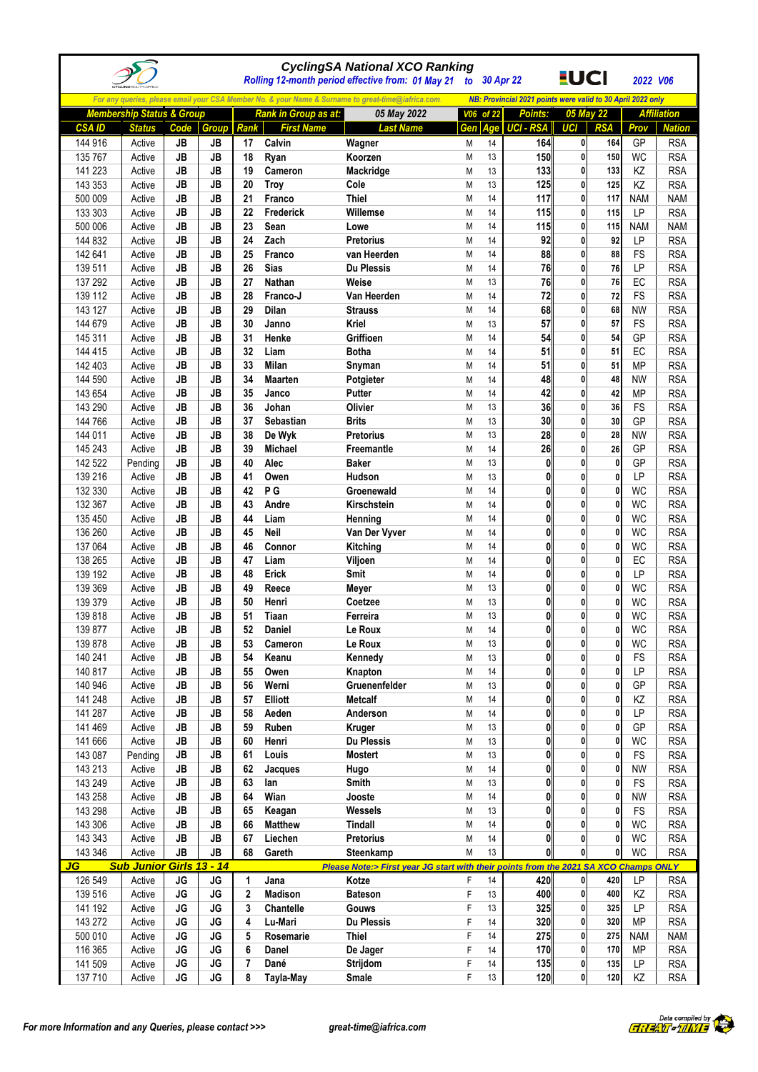|                    |                                      |           |                 |                |                             | <b>CyclingSA National XCO Ranking</b><br>Rolling 12-month period effective from: 01 May 21                       |        | to 30 Apr 22 |                                                                               | <u>EUCI</u>       |                  | 2022 V06        |                          |
|--------------------|--------------------------------------|-----------|-----------------|----------------|-----------------------------|------------------------------------------------------------------------------------------------------------------|--------|--------------|-------------------------------------------------------------------------------|-------------------|------------------|-----------------|--------------------------|
|                    |                                      |           |                 |                |                             |                                                                                                                  |        |              |                                                                               |                   |                  |                 |                          |
|                    | <b>Membership Status &amp; Group</b> |           |                 |                | <b>Rank in Group as at:</b> | For any queries, please email your CSA Member No. & your Name & Surname to great-time@iafrica.com<br>05 May 2022 |        | V06 of 22    | NB: Provincial 2021 points were valid to 30 April 2022 only<br><b>Points:</b> |                   | 05 May 22        |                 | <b>Affiliation</b>       |
| <b>CSA ID</b>      | <b>Status</b>                        | Code      | Group           | Rank           | <b>First Name</b>           | <b>Last Name</b>                                                                                                 | Gen    | Age          | <b>UCI - RSA</b>                                                              | <b>UCI</b>        | <b>RSA</b>       | Prov            | <b>Nation</b>            |
| 144 916            | Active                               | JB        | JB              | 17             | Calvin                      | Wagner                                                                                                           | M      | 14           | 164                                                                           | $\mathbf{0}$      | 164              | GP              | <b>RSA</b>               |
| 135 767            | Active                               | JB        | JB              | 18             | Ryan                        | Koorzen                                                                                                          | M      | 13           | 150                                                                           | 0                 | 150              | WC              | <b>RSA</b>               |
| 141 223            | Active                               | JB        | <b>JB</b>       | 19             | Cameron                     | Mackridge                                                                                                        | M      | 13           | 133                                                                           | 0                 | 133              | KZ              | <b>RSA</b>               |
| 143 353            | Active                               | <b>JB</b> | <b>JB</b>       | 20             | Troy                        | Cole                                                                                                             | M      | 13           | 125                                                                           | 0                 | 125              | KZ              | <b>RSA</b>               |
| 500 009            | Active                               | JB        | JB              | 21             | Franco                      | <b>Thiel</b>                                                                                                     | M      | 14           | 117                                                                           | 0                 | 117              | <b>NAM</b>      | <b>NAM</b>               |
| 133 303            | Active                               | JB        | <b>JB</b>       | 22             | Frederick                   | Willemse                                                                                                         | M      | 14           | 115                                                                           | $\mathbf{0}$      | 115              | LP              | <b>RSA</b>               |
| 500 006            | Active                               | <b>JB</b> | <b>JB</b>       | 23             | Sean                        | Lowe                                                                                                             | M      | 14           | 115                                                                           | $\mathbf{0}$      | 115              | <b>NAM</b>      | <b>NAM</b>               |
| 144 832            | Active                               | <b>JB</b> | <b>JB</b>       | 24             | Zach                        | <b>Pretorius</b>                                                                                                 | M      | 14           | 92                                                                            | 0<br>0            | 92               | LP              | <b>RSA</b>               |
| 142 641<br>139 511 | Active<br>Active                     | JB<br>JB  | JB<br>JB        | 25<br>26       | Franco<br><b>Sias</b>       | van Heerden<br><b>Du Plessis</b>                                                                                 | M<br>M | 14<br>14     | 88<br>76                                                                      | 0                 | 88<br>76         | FS<br>LP        | <b>RSA</b><br><b>RSA</b> |
| 137 292            | Active                               | JB        | JB              | 27             | <b>Nathan</b>               | Weise                                                                                                            | M      | 13           | 76                                                                            | 0                 | 76               | EC              | <b>RSA</b>               |
| 139 112            | Active                               | JB        | JB              | 28             | Franco-J                    | Van Heerden                                                                                                      | M      | 14           | 72                                                                            | 0                 | 72               | <b>FS</b>       | <b>RSA</b>               |
| 143 127            | Active                               | JB        | <b>JB</b>       | 29             | <b>Dilan</b>                | <b>Strauss</b>                                                                                                   | M      | 14           | 68                                                                            | 0                 | 68               | <b>NW</b>       | <b>RSA</b>               |
| 144 679            | Active                               | JB        | <b>JB</b>       | 30             | Janno                       | Kriel                                                                                                            | M      | 13           | 57                                                                            | 0                 | 57               | FS              | <b>RSA</b>               |
| 145 311            | Active                               | JB        | <b>JB</b>       | 31             | Henke                       | Griffioen                                                                                                        | Μ      | 14           | 54                                                                            | 0                 | 54               | GP              | <b>RSA</b>               |
| 144 415            | Active                               | JB        | JB              | 32             | Liam                        | <b>Botha</b>                                                                                                     | M      | 14           | 51                                                                            | 0                 | 51               | EC              | <b>RSA</b>               |
| 142 403            | Active                               | JB        | JB              | 33             | <b>Milan</b>                | Snyman                                                                                                           | M      | 14           | 51                                                                            | 0                 | 51               | <b>MP</b>       | <b>RSA</b>               |
| 144 590            | Active                               | <b>JB</b> | <b>JB</b>       | 34             | <b>Maarten</b>              | Potgieter                                                                                                        | M      | 14           | 48                                                                            | 0                 | 48               | <b>NW</b>       | <b>RSA</b>               |
| 143 654            | Active                               | JB        | <b>JB</b>       | 35             | Janco                       | Putter                                                                                                           | M      | 14           | 42                                                                            | 0                 | 42               | <b>MP</b>       | <b>RSA</b>               |
| 143 290            | Active                               | JB        | <b>JB</b>       | 36             | Johan                       | Olivier                                                                                                          | M      | 13           | 36                                                                            | 0                 | 36               | FS              | <b>RSA</b>               |
| 144 766            | Active                               | JB        | JB              | 37             | Sebastian                   | <b>Brits</b>                                                                                                     | Μ      | 13           | 30                                                                            | 0                 | 30               | GP              | <b>RSA</b>               |
| 144 011            | Active                               | JB        | <b>JB</b>       | 38             | De Wyk                      | <b>Pretorius</b>                                                                                                 | M      | 13<br>14     | 28                                                                            | 0<br>0            | 28               | <b>NW</b>       | <b>RSA</b>               |
| 145 243<br>142 522 | Active<br>Pending                    | JB<br>JB  | JB<br><b>JB</b> | 39<br>40       | Michael<br>Alec             | Freemantle<br><b>Baker</b>                                                                                       | M<br>M | 13           | 26<br>$\mathbf{0}$                                                            | 0                 | 26<br>0          | GP<br>GP        | <b>RSA</b><br><b>RSA</b> |
| 139 216            | Active                               | JB        | <b>JB</b>       | 41             | Owen                        | <b>Hudson</b>                                                                                                    | M      | 13           | 0                                                                             | 0                 | 0                | LP              | <b>RSA</b>               |
| 132 330            | Active                               | JB        | JB              | 42             | P G                         | Groenewald                                                                                                       | M      | 14           | 0                                                                             | 0                 | 0                | <b>WC</b>       | <b>RSA</b>               |
| 132 367            | Active                               | JB        | JB              | 43             | Andre                       | Kirschstein                                                                                                      | M      | 14           | 0                                                                             | 0                 | 0                | <b>WC</b>       | <b>RSA</b>               |
| 135 450            | Active                               | JB        | JB              | 44             | Liam                        | Henning                                                                                                          | M      | 14           | $\mathbf{0}$                                                                  | 0                 | 0                | <b>WC</b>       | <b>RSA</b>               |
| 136 260            | Active                               | <b>JB</b> | <b>JB</b>       | 45             | Neil                        | Van Der Vyver                                                                                                    | M      | 14           | $\mathbf{0}$                                                                  | $\mathbf{0}$      | $\mathbf{0}$     | WC              | <b>RSA</b>               |
| 137 064            | Active                               | JB        | JB              | 46             | Connor                      | Kitching                                                                                                         | Μ      | 14           | $\mathbf{0}$                                                                  | 0                 | 0                | <b>WC</b>       | <b>RSA</b>               |
| 138 265            | Active                               | JB        | <b>JB</b>       | 47             | Liam                        | Viljoen                                                                                                          | M      | 14           | $\mathbf{0}$                                                                  | 0                 | 0                | EC              | <b>RSA</b>               |
| 139 192            | Active                               | JB        | JB              | 48             | Erick                       | Smit                                                                                                             | M      | 14           | $\mathbf{0}$                                                                  | 0                 | 0                | <b>LP</b>       | <b>RSA</b>               |
| 139 369            | Active                               | JB        | JB              | 49             | Reece                       | Meyer                                                                                                            | M      | 13           | $\mathbf{0}$                                                                  | 0                 | 0                | <b>WC</b>       | <b>RSA</b>               |
| 139 379            | Active                               | <b>JB</b> | JB              | 50             | Henri                       | Coetzee                                                                                                          | M      | 13           | $\mathbf{0}$                                                                  | $\mathbf{0}$      | 0                | <b>WC</b>       | <b>RSA</b>               |
| 139 818            | Active                               | <b>JB</b> | <b>JB</b>       | 51             | Tiaan                       | Ferreira                                                                                                         | Μ      | 13           | $\mathbf{0}$                                                                  | $\mathbf{0}$      | $\mathbf{0}$     | <b>WC</b>       | <b>RSA</b>               |
| 139 877<br>139 878 | Active                               | <b>JB</b> | <b>JB</b><br>JB | 52             | Daniel                      | Le Roux                                                                                                          | М      | 14           | $\mathbf{0}$<br>0                                                             | $\mathbf{0}$      | 0                | <b>WC</b>       | <b>RSA</b>               |
| 140 241            | Active<br>Active                     | JB<br>JB  | JB              | 53<br>54       | Cameron<br>Keanu            | Le Roux<br>Kennedy                                                                                               | Μ<br>М | 13<br>13     | Ol                                                                            | 0                 | 0                | WC<br><b>FS</b> | <b>RSA</b><br><b>RSA</b> |
| 140 817            | Active                               | JB        | JB              | 55             | Owen                        | Knapton                                                                                                          | М      | 14           | $\mathbf{0}$                                                                  | 0                 | 0                | LP              | <b>RSA</b>               |
| 140 946            | Active                               | JB        | JB              | 56             | Werni                       | Gruenenfelder                                                                                                    | М      | 13           | $\mathbf{0}$                                                                  | 0                 | 0                | GP              | <b>RSA</b>               |
| 141 248            | Active                               | JB        | JB              | 57             | Elliott                     | <b>Metcalf</b>                                                                                                   | М      | 14           | $\mathbf{0}$                                                                  | 0                 | 0                | KZ              | <b>RSA</b>               |
| 141 287            | Active                               | JB        | JB              | 58             | Aeden                       | Anderson                                                                                                         | М      | 14           | 0                                                                             | 0                 | 0                | LP              | <b>RSA</b>               |
| 141 469            | Active                               | JB        | JB              | 59             | Ruben                       | Kruger                                                                                                           | М      | 13           | 0                                                                             | 0                 | 0                | GP              | <b>RSA</b>               |
| 141 666            | Active                               | JB        | JB              | 60             | Henri                       | Du Plessis                                                                                                       | М      | 13           | $\mathbf{0}$                                                                  | O                 | 0                | WC              | <b>RSA</b>               |
| 143 087            | Pending                              | JB        | JB              | 61             | Louis                       | <b>Mostert</b>                                                                                                   | М      | 13           | $\mathbf{0}$                                                                  | $\mathbf{0}$      | 0                | FS              | <b>RSA</b>               |
| 143 213            | Active                               | JB        | JB              | 62             | Jacques                     | Hugo                                                                                                             | М      | 14           | $\mathbf{0}$                                                                  | 0                 | 0                | <b>NW</b>       | <b>RSA</b>               |
| 143 249            | Active                               | JB        | JB              | 63             | lan                         | Smith                                                                                                            | M      | 13           | 0                                                                             | 0                 | 0                | FS              | <b>RSA</b>               |
| 143 258            | Active                               | JB        | JB              | 64             | Wian                        | Jooste                                                                                                           | М      | 14           | 0                                                                             | 0                 | 0                | <b>NW</b>       | <b>RSA</b>               |
| 143 298            | Active                               | JB        | JB              | 65             | Keagan                      | Wessels                                                                                                          | М      | 13           | 0                                                                             | O                 | 0                | FS              | <b>RSA</b>               |
| 143 306            | Active                               | JB        | JB<br>JB        | 66<br>67       | <b>Matthew</b>              | <b>Tindall</b><br><b>Pretorius</b>                                                                               | M      | 14           | $\mathbf{0}$<br>0                                                             | 0<br>$\mathbf{0}$ | 0<br>$\mathbf 0$ | <b>WC</b>       | <b>RSA</b>               |
| 143 343<br>143 346 | Active<br>Active                     | JB<br>JB  | <b>JB</b>       | 68             | Liechen<br>Gareth           | Steenkamp                                                                                                        | М<br>M | 14<br>13     | 0                                                                             | $\mathbf{0}$      | 0                | WC<br><b>WC</b> | <b>RSA</b><br><b>RSA</b> |
| JG                 | <b>Sub Junior Girls 13 - 14</b>      |           |                 |                |                             | Please Note:> First year JG start with their points from the 2021 SA XCO Champs ONLY                             |        |              |                                                                               |                   |                  |                 |                          |
| 126 549            | Active                               | JG        | JG              | 1              | Jana                        | Kotze                                                                                                            | F      | 14           | 420                                                                           | $\mathbf{0}$      | 420              | LP              | <b>RSA</b>               |
| 139 516            | Active                               | JG        | JG              | 2              | <b>Madison</b>              | <b>Bateson</b>                                                                                                   | F      | 13           | 400                                                                           | $\mathbf{0}$      | 400              | KZ              | <b>RSA</b>               |
| 141 192            | Active                               | <b>JG</b> | JG              | 3              | Chantelle                   | Gouws                                                                                                            | F      | 13           | 325                                                                           | $\mathbf{0}$      | 325              | LP              | <b>RSA</b>               |
| 143 272            | Active                               | JG        | JG              | 4              | Lu-Mari                     | Du Plessis                                                                                                       | F      | 14           | 320                                                                           | $\mathbf{0}$      | 320              | <b>MP</b>       | <b>RSA</b>               |
| 500 010            | Active                               | <b>JG</b> | JG              | 5              | Rosemarie                   | <b>Thiel</b>                                                                                                     | F      | 14           | 275                                                                           | 0                 | 275              | <b>NAM</b>      | <b>NAM</b>               |
| 116 365            | Active                               | <b>JG</b> | JG              | 6              | Danel                       | De Jager                                                                                                         | F      | 14           | 170                                                                           | $\mathbf{0}$      | 170              | <b>MP</b>       | <b>RSA</b>               |
| 141 509            | Active                               | JG        | JG              | $\overline{7}$ | Dané                        | Strijdom                                                                                                         | F      | 14           | 135                                                                           | $\mathbf{0}$      | 135              | <b>LP</b>       | <b>RSA</b>               |
| 137 710            | Active                               | JG        | JG              | 8              | Tayla-May                   | Smale                                                                                                            | F      | 13           | 120                                                                           | 0                 | 120              | ΚZ              | <b>RSA</b>               |

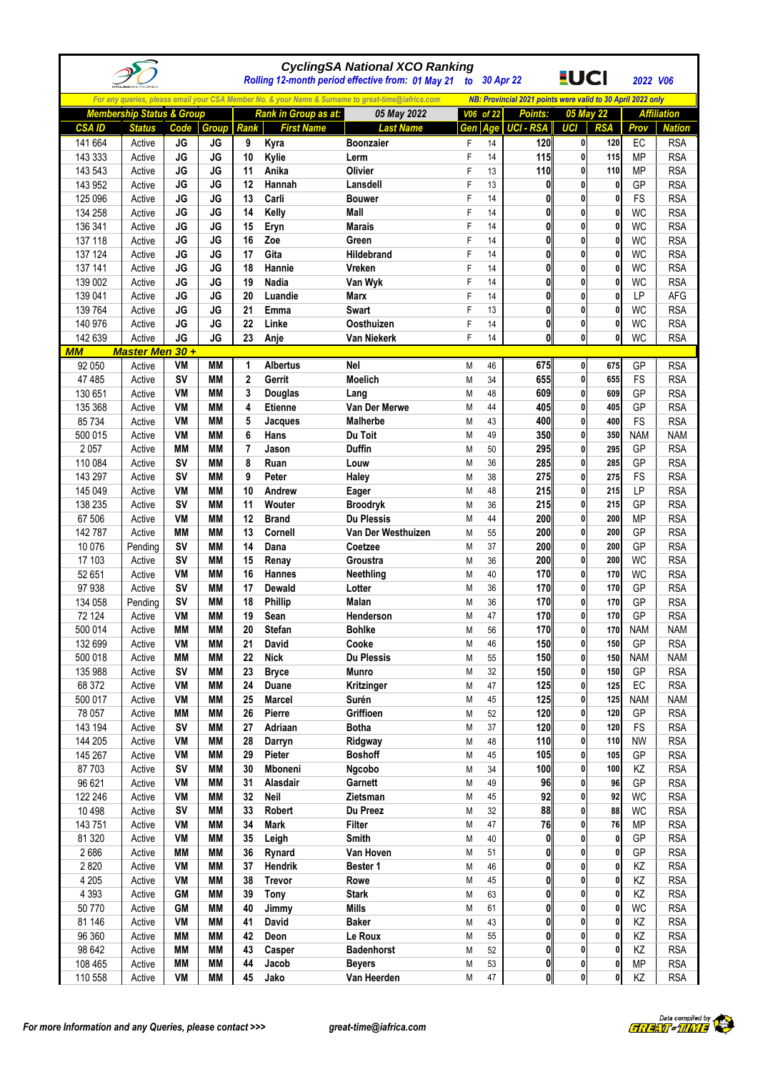|                     |                                      |                 |                        |                  |                             | <b>CyclingSA National XCO Ranking</b><br>Rolling 12-month period effective from: 01 May 21        |        | to 30 Apr 22 |                                                             | <u>EUCI</u>                  |                   | 2022 V06               |                          |
|---------------------|--------------------------------------|-----------------|------------------------|------------------|-----------------------------|---------------------------------------------------------------------------------------------------|--------|--------------|-------------------------------------------------------------|------------------------------|-------------------|------------------------|--------------------------|
|                     |                                      |                 |                        |                  |                             | For any queries, please email your CSA Member No. & your Name & Surname to great-time@iafrica.com |        |              | NB: Provincial 2021 points were valid to 30 April 2022 only |                              |                   |                        |                          |
|                     | <b>Membership Status &amp; Group</b> |                 |                        |                  | <b>Rank in Group as at:</b> | 05 May 2022                                                                                       |        | V06 of 22    | <b>Points:</b>                                              | 05 May 22                    |                   |                        | <b>Affiliation</b>       |
| <b>CSA ID</b>       | <b>Status</b>                        | Code            | <b>Group</b>           | Rank             | <b>First Name</b>           | <b>Last Name</b>                                                                                  | Gen    | Age          | <b>UCI - RSA</b>                                            | UCI                          | <b>RSA</b>        | Prov                   | <b>Nation</b>            |
| 141 664             | Active                               | <b>JG</b>       | <b>JG</b>              | 9                | Kyra                        | <b>Boonzaier</b>                                                                                  | F      | 14           | 120                                                         | $\mathbf{0}$                 | 120               | EC                     | <b>RSA</b>               |
| 143 333             | Active                               | <b>JG</b>       | <b>JG</b>              | 10               | Kylie                       | Lerm                                                                                              | F      | 14           | 115                                                         | $\mathbf{0}$                 | 115               | <b>MP</b>              | <b>RSA</b>               |
| 143 543             | Active                               | JG              | <b>JG</b>              | 11               | Anika                       | Olivier                                                                                           | F      | 13           | 110                                                         | 0                            | 110               | <b>MP</b>              | <b>RSA</b>               |
| 143 952             | Active                               | JG              | <b>JG</b>              | 12               | Hannah                      | Lansdell                                                                                          | F      | 13           | $\mathbf{0}$                                                | 0                            | 0                 | GP                     | <b>RSA</b>               |
| 125 096             | Active                               | JG              | <b>JG</b>              | 13               | Carli                       | <b>Bouwer</b>                                                                                     | F      | 14           | $\mathbf{0}$                                                | 0                            | 0                 | FS                     | <b>RSA</b>               |
| 134 258             | Active                               | JG<br><b>JG</b> | <b>JG</b><br><b>JG</b> | 14<br>15         | Kelly                       | Mall<br><b>Marais</b>                                                                             | F<br>F | 14<br>14     | $\mathbf{0}$<br>$\mathbf{0}$                                | $\mathbf{0}$<br>$\mathbf{0}$ | 0                 | <b>WC</b>              | <b>RSA</b>               |
| 136 341<br>137 118  | Active<br>Active                     | JG              | JG                     | 16               | Eryn<br>Zoe                 | Green                                                                                             | F      | 14           | $\mathbf{0}$                                                | $\mathbf{0}$                 | $\mathbf{0}$<br>0 | <b>WC</b><br><b>WC</b> | <b>RSA</b><br><b>RSA</b> |
| 137 124             | Active                               | JG              | <b>JG</b>              | 17               | Gita                        | Hildebrand                                                                                        | F      | 14           | $\mathbf{0}$                                                | 0                            | $\mathbf{0}$      | <b>WC</b>              | <b>RSA</b>               |
| 137 141             | Active                               | <b>JG</b>       | <b>JG</b>              | 18               | Hannie                      | Vreken                                                                                            | F      | 14           | 0                                                           | 0                            | 0                 | <b>WC</b>              | <b>RSA</b>               |
| 139 002             | Active                               | JG              | <b>JG</b>              | 19               | Nadia                       | Van Wyk                                                                                           | F      | 14           | $\mathbf{0}$                                                | 0                            | 0                 | WC                     | <b>RSA</b>               |
| 139 041             | Active                               | JG              | <b>JG</b>              | 20               | Luandie                     | Marx                                                                                              | F      | 14           | $\mathbf{0}$                                                | 0                            | 0                 | <b>LP</b>              | AFG                      |
| 139 764             | Active                               | <b>JG</b>       | <b>JG</b>              | 21               | Emma                        | Swart                                                                                             | F      | 13           | $\mathbf{0}$                                                | 0                            | $\mathbf{0}$      | <b>WC</b>              | <b>RSA</b>               |
| 140 976             | Active                               | <b>JG</b>       | <b>JG</b>              | 22               | Linke                       | Oosthuizen                                                                                        | F      | 14           | $\mathbf{0}$                                                | 0                            | 0                 | WC                     | <b>RSA</b>               |
| 142 639             | Active                               | JG              | JG                     | 23               | Anje                        | Van Niekerk                                                                                       | F      | 14           | $\mathbf{0}$                                                | $\mathbf{0}$                 | 0                 | <b>WC</b>              | <b>RSA</b>               |
| <b>MM</b><br>92 050 | <b>Master Men 30 +</b><br>Active     | VM              | MМ                     | 1                | <b>Albertus</b>             | <b>Nel</b>                                                                                        | M      | 46           | 675                                                         | $\mathbf{0}$                 | 675               | GP                     | <b>RSA</b>               |
| 47 485              | Active                               | <b>SV</b>       | <b>MM</b>              | $\overline{2}$   | Gerrit                      | <b>Moelich</b>                                                                                    | M      | 34           | 655                                                         | $\mathbf{0}$                 | 655               | FS                     | <b>RSA</b>               |
| 130 651             | Active                               | VM              | MМ                     | 3                | <b>Douglas</b>              | Lang                                                                                              | M      | 48           | 609                                                         | 0                            | 609               | GP                     | <b>RSA</b>               |
| 135 368             | Active                               | VM              | <b>MM</b>              | 4                | <b>Etienne</b>              | Van Der Merwe                                                                                     | M      | 44           | 405                                                         | 0                            | 405               | GP                     | <b>RSA</b>               |
| 85 734              | Active                               | VM              | MМ                     | 5                | Jacques                     | <b>Malherbe</b>                                                                                   | M      | 43           | 400                                                         | 0                            | 400               | FS                     | <b>RSA</b>               |
| 500 015             | Active                               | VM              | <b>MM</b>              | 6                | Hans                        | Du Toit                                                                                           | M      | 49           | 350                                                         | 0                            | 350               | <b>NAM</b>             | <b>NAM</b>               |
| 2 0 5 7             | Active                               | <b>MM</b>       | <b>MM</b>              | 7                | Jason                       | <b>Duffin</b>                                                                                     | M      | 50           | 295                                                         | 0                            | 295               | GP                     | <b>RSA</b>               |
| 110 084             | Active                               | S٧              | MМ                     | 8                | Ruan                        | Louw                                                                                              | M      | 36           | 285                                                         | $\mathbf{0}$                 | 285               | GP                     | <b>RSA</b>               |
| 143 297             | Active                               | <b>SV</b>       | MМ                     | 9                | Peter                       | Haley                                                                                             | M      | 38           | 275                                                         | 0<br>0                       | 275               | <b>FS</b><br>LP        | <b>RSA</b><br><b>RSA</b> |
| 145 049<br>138 235  | Active<br>Active                     | VM<br><b>SV</b> | MМ<br><b>MM</b>        | 10<br>11         | Andrew<br>Wouter            | Eager<br><b>Broodryk</b>                                                                          | M<br>M | 48<br>36     | 215<br>215                                                  | 0                            | 215<br>215        | GP                     | <b>RSA</b>               |
| 67 506              | Active                               | VM              | MМ                     | 12               | <b>Brand</b>                | <b>Du Plessis</b>                                                                                 | M      | 44           | 200                                                         | 0                            | 200               | <b>MP</b>              | <b>RSA</b>               |
| 142 787             | Active                               | <b>MM</b>       | <b>MM</b>              | 13               | Cornell                     | Van Der Westhuizen                                                                                | M      | 55           | 200                                                         | $\mathbf{0}$                 | 200               | GP                     | <b>RSA</b>               |
| 10 0 76             | Pending                              | <b>SV</b>       | MМ                     | 14               | Dana                        | Coetzee                                                                                           | M      | 37           | 200                                                         | 0                            | 200               | GP                     | <b>RSA</b>               |
| 17 103              | Active                               | <b>SV</b>       | MМ                     | 15               | Renay                       | Groustra                                                                                          | M      | 36           | 200                                                         | 0                            | 200               | <b>WC</b>              | <b>RSA</b>               |
| 52 651              | Active                               | VM              | <b>MM</b>              | 16               | Hannes                      | Neethling                                                                                         | M      | 40           | 170                                                         | 0                            | 170               | <b>WC</b>              | <b>RSA</b>               |
| 97 938              | Active                               | <b>SV</b>       | <b>MM</b>              | 17               | Dewald                      | Lotter                                                                                            | M      | 36           | 170                                                         | 0                            | 170               | GP                     | <b>RSA</b>               |
| 134 058             | Pending                              | <b>SV</b>       | <b>MM</b>              | 18               | <b>Phillip</b>              | <b>Malan</b>                                                                                      | M      | 36           | 170                                                         | $\mathbf{0}$                 | 170               | GP                     | <b>RSA</b>               |
| 72 124<br>500 014   | Active<br>Active                     | VM<br><b>MM</b> | <b>MM</b><br><b>MM</b> | 19<br>${\bf 20}$ | Sean<br><b>Stefan</b>       | Henderson<br><b>Bohlke</b>                                                                        | M<br>M | 47<br>56     | 170<br>170                                                  | $\mathbf{0}$                 | 170<br>170        | GP<br><b>NAM</b>       | <b>RSA</b><br><b>NAM</b> |
| 132 699             | Active                               | VM              | <b>MM</b>              | 21               | David                       | Cooke                                                                                             | M      | 46           | 150                                                         | 0                            | 150               | GP                     | <b>RSA</b>               |
| 500 018             | Active                               | ΜM              | MМ                     | 22               | <b>Nick</b>                 | Du Plessis                                                                                        | М      | 55           | 150                                                         | $\mathbf{0}$                 | 150               | <b>NAM</b>             | <b>NAM</b>               |
| 135 988             | Active                               | <b>SV</b>       | MМ                     | 23               | <b>Bryce</b>                | <b>Munro</b>                                                                                      | M      | 32           | 150                                                         | 0                            | 150               | GP                     | <b>RSA</b>               |
| 68 372              | Active                               | VM              | <b>MM</b>              | 24               | Duane                       | Kritzinger                                                                                        | M      | 47           | 125                                                         | $\mathbf{0}$                 | 125               | EC                     | <b>RSA</b>               |
| 500 017             | Active                               | VM              | MМ                     | 25               | <b>Marcel</b>               | Surén                                                                                             | M      | 45           | 125                                                         | $\mathbf{0}$                 | 125               | <b>NAM</b>             | <b>NAM</b>               |
| 78 057              | Active                               | ΜM              | MМ                     | 26               | Pierre                      | Griffioen                                                                                         | M      | 52           | 120                                                         | 0                            | 120               | GP                     | <b>RSA</b>               |
| 143 194             | Active                               | <b>SV</b>       | MМ                     | 27               | Adriaan                     | <b>Botha</b>                                                                                      | M      | 37           | 120                                                         | 0                            | 120               | FS                     | <b>RSA</b>               |
| 144 205             | Active                               | VM<br>VM        | MМ<br><b>MM</b>        | 28<br>29         | Darryn                      | Ridgway<br><b>Boshoff</b>                                                                         | M      | 48<br>45     | 110<br>105                                                  | 0<br>$\mathbf{0}$            | 110<br>105        | <b>NW</b>              | <b>RSA</b>               |
| 145 267<br>87 703   | Active<br>Active                     | SV              | MМ                     | 30               | Pieter<br>Mboneni           | Ngcobo                                                                                            | M<br>M | 34           | 100                                                         | $\mathbf{0}$                 | 100               | GP<br>KZ               | <b>RSA</b><br><b>RSA</b> |
| 96 621              | Active                               | VM              | MМ                     | 31               | Alasdair                    | Garnett                                                                                           | M      | 49           | 96                                                          | 0                            | 96                | GP                     | <b>RSA</b>               |
| 122 246             | Active                               | VM              | <b>MM</b>              | 32               | Neil                        | Zietsman                                                                                          | M      | 45           | 92                                                          | 0                            | 92                | <b>WC</b>              | <b>RSA</b>               |
| 10 4 98             | Active                               | <b>SV</b>       | MМ                     | 33               | Robert                      | Du Preez                                                                                          | M      | 32           | 88                                                          | 0                            | 88                | WC                     | <b>RSA</b>               |
| 143 751             | Active                               | VM              | <b>MM</b>              | 34               | <b>Mark</b>                 | <b>Filter</b>                                                                                     | M      | 47           | 76                                                          | 0                            | 76                | <b>MP</b>              | <b>RSA</b>               |
| 81 320              | Active                               | VM              | МM                     | 35               | Leigh                       | Smith                                                                                             | M      | 40           | $\mathbf{0}$                                                | 0                            | 0                 | GP                     | <b>RSA</b>               |
| 2686                | Active                               | МM              | MМ                     | 36               | Rynard                      | Van Hoven                                                                                         | M      | 51           | $\mathbf{0}$                                                | 0                            | 0                 | GP                     | <b>RSA</b>               |
| 2820                | Active                               | VM              | MМ                     | 37               | Hendrik                     | Bester 1                                                                                          | М      | 46           | 0                                                           | 0                            | 0                 | KZ                     | <b>RSA</b>               |
| 4 2 0 5             | Active                               | VM              | МM                     | 38               | <b>Trevor</b>               | Rowe                                                                                              | M      | 45           | $\mathbf{0}$                                                | 0                            | 0                 | KZ                     | <b>RSA</b>               |
| 4 3 9 3<br>50770    | Active<br>Active                     | GM<br><b>GM</b> | MМ<br>МM               | 39<br>40         | Tony<br>Jimmy               | <b>Stark</b><br>Mills                                                                             | M<br>M | 63<br>61     | $\mathbf{0}$<br>$\mathbf{0}$                                | 0<br>0                       | 0<br>0            | ΚZ<br><b>WC</b>        | <b>RSA</b><br><b>RSA</b> |
| 81 146              | Active                               | VM              | МM                     | 41               | David                       | <b>Baker</b>                                                                                      | M      | 43           | $\mathbf{0}$                                                | $\mathbf{0}$                 | $\mathbf{0}$      | KZ                     | <b>RSA</b>               |
| 96 360              | Active                               | MМ              | MМ                     | 42               | Deon                        | Le Roux                                                                                           | M      | 55           | $\mathbf{0}$                                                | 0                            | 0                 | KZ                     | <b>RSA</b>               |
| 98 642              | Active                               | МM              | МM                     | 43               | Casper                      | <b>Badenhorst</b>                                                                                 | М      | 52           | $\mathbf{0}$                                                | $\mathbf{0}$                 | 0                 | KZ                     | <b>RSA</b>               |
| 108 465             | Active                               | MМ              | MМ                     | 44               | Jacob                       | <b>Beyers</b>                                                                                     | M      | 53           | $\mathbf{0}$                                                | $\mathbf{0}$                 | 0                 | MP                     | <b>RSA</b>               |
| 110 558             | Active                               | VM              | MМ                     | 45               | Jako                        | Van Heerden                                                                                       | M      | 47           | $\mathbf{0}$                                                | $\bf{0}$                     | $\bf{0}$          | KZ                     | <b>RSA</b>               |

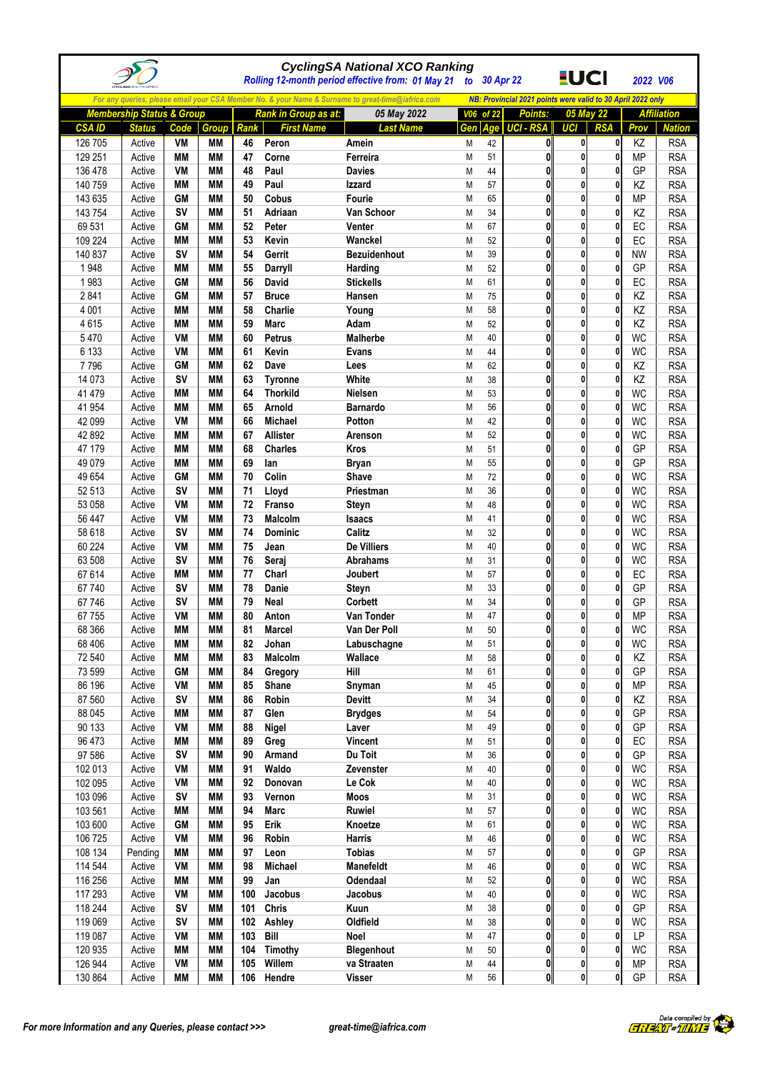|                    |                                      |                        |                        |          |                             | <b>CyclingSA National XCO Ranking</b><br>Rolling 12-month period effective from: 01 May 21        |           |          | to 30 Apr 22                                                | <u>EUCI</u>       |              | 2022 V06               |                          |
|--------------------|--------------------------------------|------------------------|------------------------|----------|-----------------------------|---------------------------------------------------------------------------------------------------|-----------|----------|-------------------------------------------------------------|-------------------|--------------|------------------------|--------------------------|
|                    |                                      |                        |                        |          |                             | For any queries, please email your CSA Member No. & your Name & Surname to great-time@iafrica.com |           |          | NB: Provincial 2021 points were valid to 30 April 2022 only |                   |              |                        |                          |
|                    | <b>Membership Status &amp; Group</b> |                        |                        |          | <b>Rank in Group as at:</b> | 05 May 2022                                                                                       | V06 of 22 |          | <b>Points:</b>                                              |                   | 05 May 22    |                        | <b>Affiliation</b>       |
| <b>CSAID</b>       | <b>Status</b>                        | Code                   | <b>Group</b>           | Rank     | <b>First Name</b>           | <b>Last Name</b>                                                                                  | Gen       | Age      | <b>UCI - RSA</b>                                            | <b>UCI</b>        | <b>RSA</b>   | Prov                   | <b>Nation</b>            |
| 126 705            | Active                               | VM                     | MМ                     | 46       | Peron                       | Amein                                                                                             | M         | 42       | 0                                                           | 0                 | 0            | ΚZ                     | <b>RSA</b>               |
| 129 251            | Active                               | MМ                     | MМ                     | 47       | Corne                       | Ferreira                                                                                          | M         | 51       | 0                                                           | 0                 | 0            | <b>MP</b>              | <b>RSA</b>               |
| 136 478            | Active                               | VM                     | МM                     | 48       | Paul                        | <b>Davies</b>                                                                                     | M         | 44       | 0                                                           | $\mathbf{0}$      | 0            | GP                     | <b>RSA</b>               |
| 140 759            | Active                               | <b>MM</b>              | МM                     | 49       | Paul                        | Izzard                                                                                            | M         | 57       | 0                                                           | 0                 | 0            | KZ                     | <b>RSA</b>               |
| 143 635<br>143 754 | Active<br>Active                     | <b>GM</b><br>SV        | MМ<br>МM               | 50<br>51 | Cobus<br>Adriaan            | <b>Fourie</b><br>Van Schoor                                                                       | M<br>M    | 65<br>34 | 0<br>0                                                      | 0<br>0            | 0<br>0       | <b>MP</b><br>KZ        | <b>RSA</b><br><b>RSA</b> |
| 69 531             | Active                               | <b>GM</b>              | МM                     | 52       | Peter                       | Venter                                                                                            | M         | 67       | 0                                                           | $\mathbf 0$       | $\mathbf{0}$ | EC                     | <b>RSA</b>               |
| 109 224            | Active                               | MМ                     | MМ                     | 53       | Kevin                       | Wanckel                                                                                           | M         | 52       | $\mathbf{0}$                                                | $\mathbf{0}$      | 0            | EC                     | <b>RSA</b>               |
| 140 837            | Active                               | <b>SV</b>              | МM                     | 54       | Gerrit                      | <b>Bezuidenhout</b>                                                                               | M         | 39       | 0                                                           | 0                 | 0            | <b>NW</b>              | <b>RSA</b>               |
| 1948               | Active                               | MМ                     | MМ                     | 55       | Darryll                     | Harding                                                                                           | M         | 52       | $\bf{0}$                                                    | 0                 | $\mathbf{0}$ | GP                     | <b>RSA</b>               |
| 1983               | Active                               | <b>GM</b>              | MМ                     | 56       | David                       | <b>Stickells</b>                                                                                  | M         | 61       | 0                                                           | 0                 | 0            | EC                     | <b>RSA</b>               |
| 2841               | Active                               | <b>GM</b>              | MМ                     | 57       | <b>Bruce</b>                | Hansen                                                                                            | M         | 75       | $\mathbf{0}$                                                | 0                 | 0            | KZ                     | <b>RSA</b>               |
| 4 0 0 1            | Active                               | MМ                     | MМ                     | 58       | Charlie                     | Young                                                                                             | M         | 58       | 0                                                           | $\mathbf{0}$      | $\mathbf{0}$ | KZ                     | <b>RSA</b>               |
| 4615               | Active                               | MМ                     | MМ                     | 59       | <b>Marc</b>                 | Adam                                                                                              | M         | 52       | 0                                                           | 0                 | 0            | ΚZ                     | <b>RSA</b>               |
| 5470<br>6 1 3 3    | Active                               | VM<br>VM               | MM<br>MМ               | 60<br>61 | <b>Petrus</b><br>Kevin      | <b>Malherbe</b>                                                                                   | M         | 40<br>44 | $\bf{0}$<br>0                                               | 0<br>0            | 0<br>0       | <b>WC</b><br><b>WC</b> | <b>RSA</b><br><b>RSA</b> |
| 7796               | Active<br>Active                     | <b>GM</b>              | MМ                     | 62       | Dave                        | Evans<br>Lees                                                                                     | M<br>M    | 62       | 0                                                           | 0                 | 0            | KZ                     | <b>RSA</b>               |
| 14 0 73            | Active                               | SV                     | <b>MM</b>              | 63       | <b>Tyronne</b>              | White                                                                                             | M         | 38       | 0                                                           | $\mathbf 0$       | $\mathbf{0}$ | KZ                     | <b>RSA</b>               |
| 41 4 7 9           | Active                               | МM                     | МM                     | 64       | <b>Thorkild</b>             | Nielsen                                                                                           | M         | 53       | 0                                                           | $\mathbf{0}$      | 0            | <b>WC</b>              | <b>RSA</b>               |
| 41 954             | Active                               | МM                     | МM                     | 65       | Arnold                      | <b>Barnardo</b>                                                                                   | M         | 56       | 0                                                           | 0                 | 0            | <b>WC</b>              | <b>RSA</b>               |
| 42 099             | Active                               | VM                     | MМ                     | 66       | Michael                     | Potton                                                                                            | M         | 42       | $\bf{0}$                                                    | 0                 | $\mathbf{0}$ | <b>WC</b>              | <b>RSA</b>               |
| 42 892             | Active                               | MМ                     | MМ                     | 67       | Allister                    | Arenson                                                                                           | M         | 52       | 0                                                           | 0                 | 0            | <b>WC</b>              | <b>RSA</b>               |
| 47 179             | Active                               | MМ                     | МM                     | 68       | <b>Charles</b>              | <b>Kros</b>                                                                                       | M         | 51       | 0                                                           | 0                 | 0            | GP                     | <b>RSA</b>               |
| 49 0 79            | Active                               | <b>MM</b>              | <b>MM</b>              | 69       | lan                         | <b>Bryan</b>                                                                                      | M         | 55       | 0                                                           | $\mathbf 0$       | 0            | GP                     | <b>RSA</b>               |
| 49 654             | Active                               | <b>GM</b><br><b>SV</b> | <b>MM</b>              | 70       | Colin                       | Shave                                                                                             | M         | 72<br>36 | 0<br>0                                                      | 0<br>0            | 0<br>0       | <b>WC</b><br><b>WC</b> | <b>RSA</b>               |
| 52 513<br>53 058   | Active<br>Active                     | VM                     | MМ<br>MМ               | 71<br>72 | Lloyd<br>Franso             | Priestman<br>Steyn                                                                                | M<br>M    | 48       | 0                                                           | 0                 | 0            | <b>WC</b>              | <b>RSA</b><br><b>RSA</b> |
| 56 447             | Active                               | VM                     | MМ                     | 73       | Malcolm                     | Isaacs                                                                                            | M         | 41       | $\mathbf{0}$                                                | 0                 | 0            | <b>WC</b>              | <b>RSA</b>               |
| 58 618             | Active                               | SV                     | <b>MM</b>              | 74       | <b>Dominic</b>              | Calitz                                                                                            | M         | 32       | 0                                                           | $\mathbf 0$       | 0            | <b>WC</b>              | <b>RSA</b>               |
| 60 224             | Active                               | VM                     | MМ                     | 75       | Jean                        | De Villiers                                                                                       | M         | 40       | $\mathbf{0}$                                                | $\mathbf{0}$      | $\mathbf{0}$ | <b>WC</b>              | <b>RSA</b>               |
| 63 508             | Active                               | SV                     | MМ                     | 76       | Seraj                       | Abrahams                                                                                          | M         | 31       | 0                                                           | $\mathbf{0}$      | 0            | <b>WC</b>              | <b>RSA</b>               |
| 67 614             | Active                               | <b>MM</b>              | <b>MM</b>              | 77       | Charl                       | Joubert                                                                                           | M         | 57       | $\bf{0}$                                                    | 0                 | 0            | EC                     | <b>RSA</b>               |
| 67 740             | Active                               | <b>SV</b>              | MМ                     | 78       | Danie                       | Steyn                                                                                             | M         | 33       | 0                                                           | 0                 | 0            | GP                     | <b>RSA</b>               |
| 67 746             | Active                               | <b>SV</b><br>VM        | <b>MM</b><br><b>MM</b> | 79<br>80 | Neal                        | Corbett                                                                                           | M<br>M    | 34<br>47 | 0<br>0                                                      | 0<br>$\mathbf{0}$ | 0<br>0       | GP<br><b>MP</b>        | <b>RSA</b><br><b>RSA</b> |
| 67 755<br>68 366   | Active<br>Active                     | <b>MM</b>              | <b>MM</b>              | 81       | Anton<br><b>Marcel</b>      | Van Tonder<br>Van Der Poll                                                                        | Μ         | $50\,$   | 0                                                           | $\mathbf{0}$      | U.           | WC                     | <b>RSA</b>               |
| 68 40 6            | Active                               | MМ                     | <b>MM</b>              | 82       | Johan                       | Labuschagne                                                                                       | M         | 51       | $\mathbf{0}$                                                | $\mathbf{0}$      | 0            | <b>WC</b>              | <b>RSA</b>               |
| 72 540             | Active                               | MМ                     | MМ                     | 83       | Malcolm                     | Wallace                                                                                           | M         | 58       | $\mathbf{0}$                                                | $\mathbf{0}$      | 0            | KZ                     | <b>RSA</b>               |
| 73 599             | Active                               | <b>GM</b>              | MМ                     | 84       | Gregory                     | Hill                                                                                              | M         | 61       | 0                                                           | 0                 | 0            | GP                     | <b>RSA</b>               |
| 86 196             | Active                               | VM                     | <b>MM</b>              | 85       | Shane                       | Snyman                                                                                            | M         | 45       | 0                                                           | 0                 | 0            | <b>MP</b>              | <b>RSA</b>               |
| 87 560             | Active                               | <b>SV</b>              | <b>MM</b>              | 86       | Robin                       | <b>Devitt</b>                                                                                     | M         | 34       | $\mathbf{0}$                                                | $\mathbf{0}$      | 0            | ΚZ                     | <b>RSA</b>               |
| 88 045             | Active                               | <b>MM</b>              | MМ                     | 87       | Glen                        | <b>Brydges</b>                                                                                    | M         | 54       | 0                                                           | 0                 | 0            | GP                     | <b>RSA</b>               |
| 90 133             | Active                               | VM                     | <b>MM</b>              | 88       | Nigel                       | Laver                                                                                             | M         | 49       | 0                                                           | 0                 | 0            | GP                     | <b>RSA</b>               |
| 96 473<br>97 586   | Active                               | MМ<br><b>SV</b>        | MМ<br><b>MM</b>        | 89<br>90 | Greg<br>Armand              | <b>Vincent</b><br>Du Toit                                                                         | M         | 51<br>36 | $\mathbf{0}$<br>0                                           | 0<br>0            | 0<br>0       | $EC$<br>GP             | <b>RSA</b><br><b>RSA</b> |
| 102 013            | Active<br>Active                     | VM                     | <b>MM</b>              | 91       | Waldo                       | Zevenster                                                                                         | M<br>M    | 40       | 0                                                           | 0                 | 0            | <b>WC</b>              | <b>RSA</b>               |
| 102 095            | Active                               | VM                     | MМ                     | 92       | Donovan                     | Le Cok                                                                                            | M         | 40       | $\mathbf{0}$                                                | $\mathbf{0}$      | $\mathbf{0}$ | <b>WC</b>              | <b>RSA</b>               |
| 103 096            | Active                               | <b>SV</b>              | MМ                     | 93       | Vernon                      | Moos                                                                                              | M         | 31       | 0                                                           | 0                 | 0            | <b>WC</b>              | <b>RSA</b>               |
| 103 561            | Active                               | MМ                     | MМ                     | 94       | Marc                        | Ruwiel                                                                                            | M         | 57       | 0                                                           | 0                 | $\mathbf{0}$ | WC                     | <b>RSA</b>               |
| 103 600            | Active                               | <b>GM</b>              | MМ                     | 95       | Erik                        | Knoetze                                                                                           | М         | 61       | $\mathbf{0}$                                                | 0                 | 0            | <b>WC</b>              | <b>RSA</b>               |
| 106 725            | Active                               | VM                     | МM                     | 96       | Robin                       | <b>Harris</b>                                                                                     | M         | 46       | 0                                                           | 0                 | 0            | WC                     | <b>RSA</b>               |
| 108 134            | Pending                              | MМ                     | MМ                     | 97       | Leon                        | <b>Tobias</b>                                                                                     | M         | 57       | $\mathbf 0$                                                 | $\mathbf{0}$      | 0            | GP                     | <b>RSA</b>               |
| 114 544<br>116 256 | Active                               | VM<br>МM               | MМ<br>МM               | 98<br>99 | Michael<br>Jan              | Manefeldt<br>Odendaal                                                                             | M         | 46<br>52 | $\mathbf 0$<br>0                                            | 0<br>0            | 0<br>0       | <b>WC</b><br>WC        | <b>RSA</b><br><b>RSA</b> |
| 117 293            | Active<br>Active                     | VM                     | МM                     | 100      | Jacobus                     | Jacobus                                                                                           | M<br>M    | 40       | $\mathbf{0}$                                                | 0                 | 0            | WC                     | <b>RSA</b>               |
| 118 244            | Active                               | SV                     | MМ                     | 101      | <b>Chris</b>                | Kuun                                                                                              | M         | 38       | 0                                                           | 0                 | 0            | GP                     | <b>RSA</b>               |
| 119 069            | Active                               | SV                     | МM                     | 102      | Ashley                      | Oldfield                                                                                          | M         | 38       | $\mathbf 0$                                                 | $\mathbf{0}$      | 0            | <b>WC</b>              | <b>RSA</b>               |
| 119 087            | Active                               | VM                     | MМ                     | 103      | Bill                        | Noel                                                                                              | M         | 47       | $\mathbf 0$                                                 | $\mathbf{0}$      | $\mathbf{0}$ | LP                     | <b>RSA</b>               |
| 120 935            | Active                               | <b>MM</b>              | MМ                     | 104      | Timothy                     | <b>Blegenhout</b>                                                                                 | M         | 50       | $\mathbf{0}$                                                | $\mathbf{0}$      | 0            | <b>WC</b>              | <b>RSA</b>               |
| 126 944            | Active                               | VM                     | MМ                     | 105      | Willem                      | va Straaten                                                                                       | M         | 44       | $\bf{0}$                                                    | $\mathbf{0}$      | $\mathbf 0$  | <b>MP</b>              | <b>RSA</b>               |
| 130 864            | Active                               | MМ                     | МM                     | 106      | Hendre                      | <b>Visser</b>                                                                                     | М         | 56       | 0                                                           | $\mathbf{0}$      | $\mathbf{0}$ | GP                     | <b>RSA</b>               |